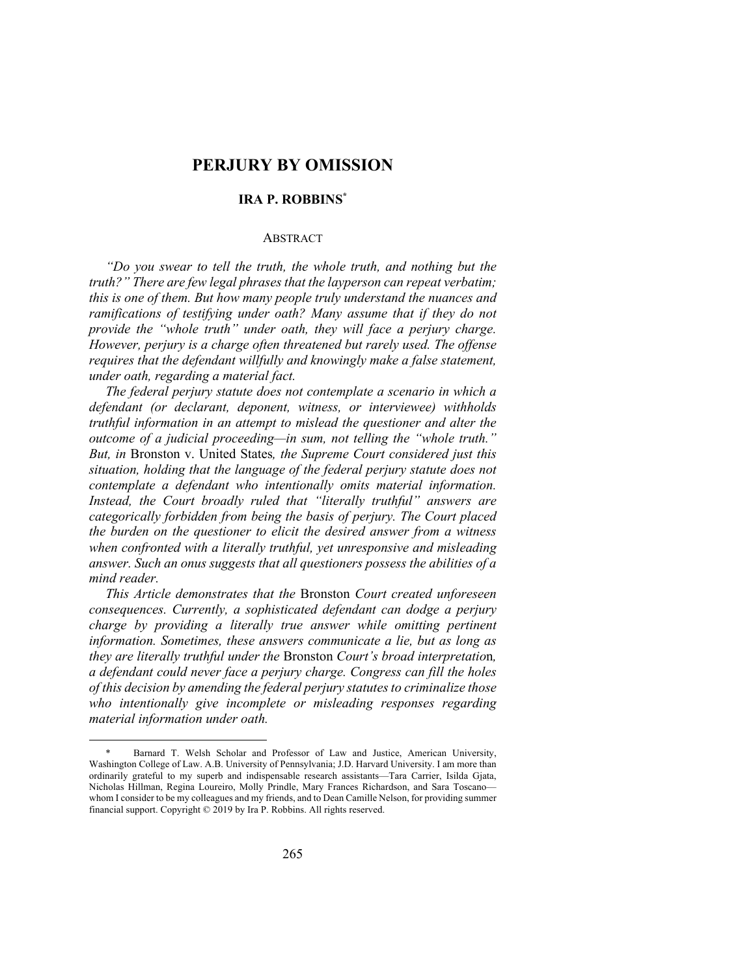# **PERJURY BY OMISSION**

# **IRA P. ROBBINS\***

# ABSTRACT

*"Do you swear to tell the truth, the whole truth, and nothing but the truth?" There are few legal phrases that the layperson can repeat verbatim; this is one of them. But how many people truly understand the nuances and ramifications of testifying under oath? Many assume that if they do not provide the "whole truth" under oath, they will face a perjury charge. However, perjury is a charge often threatened but rarely used. The offense requires that the defendant willfully and knowingly make a false statement, under oath, regarding a material fact.*

*The federal perjury statute does not contemplate a scenario in which a defendant (or declarant, deponent, witness, or interviewee) withholds truthful information in an attempt to mislead the questioner and alter the outcome of a judicial proceeding—in sum, not telling the "whole truth." But, in* Bronston v. United States*, the Supreme Court considered just this situation, holding that the language of the federal perjury statute does not contemplate a defendant who intentionally omits material information. Instead, the Court broadly ruled that "literally truthful" answers are categorically forbidden from being the basis of perjury. The Court placed the burden on the questioner to elicit the desired answer from a witness when confronted with a literally truthful, yet unresponsive and misleading answer. Such an onus suggests that all questioners possess the abilities of a mind reader.*

*This Article demonstrates that the* Bronston *Court created unforeseen consequences. Currently, a sophisticated defendant can dodge a perjury charge by providing a literally true answer while omitting pertinent information. Sometimes, these answers communicate a lie, but as long as they are literally truthful under the* Bronston *Court's broad interpretatio*n*, a defendant could never face a perjury charge. Congress can fill the holes of this decision by amending the federal perjury statutes to criminalize those who intentionally give incomplete or misleading responses regarding material information under oath.*

Barnard T. Welsh Scholar and Professor of Law and Justice, American University, Washington College of Law. A.B. University of Pennsylvania; J.D. Harvard University. I am more than ordinarily grateful to my superb and indispensable research assistants—Tara Carrier, Isilda Gjata, Nicholas Hillman, Regina Loureiro, Molly Prindle, Mary Frances Richardson, and Sara Toscano whom I consider to be my colleagues and my friends, and to Dean Camille Nelson, for providing summer financial support. Copyright © 2019 by Ira P. Robbins. All rights reserved.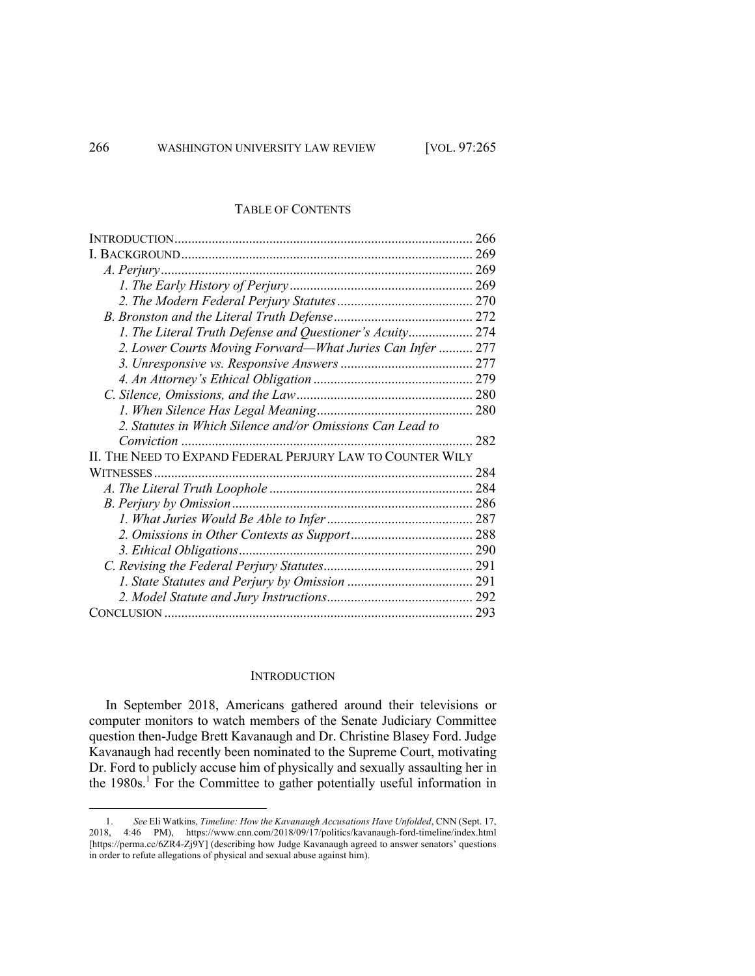# TABLE OF CONTENTS

| 1. The Literal Truth Defense and Questioner's Acuity 274   |  |
|------------------------------------------------------------|--|
| 2. Lower Courts Moving Forward—What Juries Can Infer  277  |  |
|                                                            |  |
|                                                            |  |
|                                                            |  |
|                                                            |  |
| 2. Statutes in Which Silence and/or Omissions Can Lead to  |  |
|                                                            |  |
| II. THE NEED TO EXPAND FEDERAL PERJURY LAW TO COUNTER WILY |  |
|                                                            |  |
|                                                            |  |
|                                                            |  |
|                                                            |  |
|                                                            |  |
|                                                            |  |
|                                                            |  |
|                                                            |  |
|                                                            |  |
|                                                            |  |

#### **INTRODUCTION**

In September 2018, Americans gathered around their televisions or computer monitors to watch members of the Senate Judiciary Committee question then-Judge Brett Kavanaugh and Dr. Christine Blasey Ford. Judge Kavanaugh had recently been nominated to the Supreme Court, motivating Dr. Ford to publicly accuse him of physically and sexually assaulting her in the 1980s.<sup>1</sup> For the Committee to gather potentially useful information in

<sup>1.</sup> *See* Eli Watkins, *Timeline: How the Kavanaugh Accusations Have Unfolded*, CNN (Sept. 17, 2018, 4:46 PM), https://www.cnn.com/2018/09/17/politics/kavanaugh-ford-timeline/index.html [https://perma.cc/6ZR4-Zj9Y] (describing how Judge Kavanaugh agreed to answer senators' questions in order to refute allegations of physical and sexual abuse against him).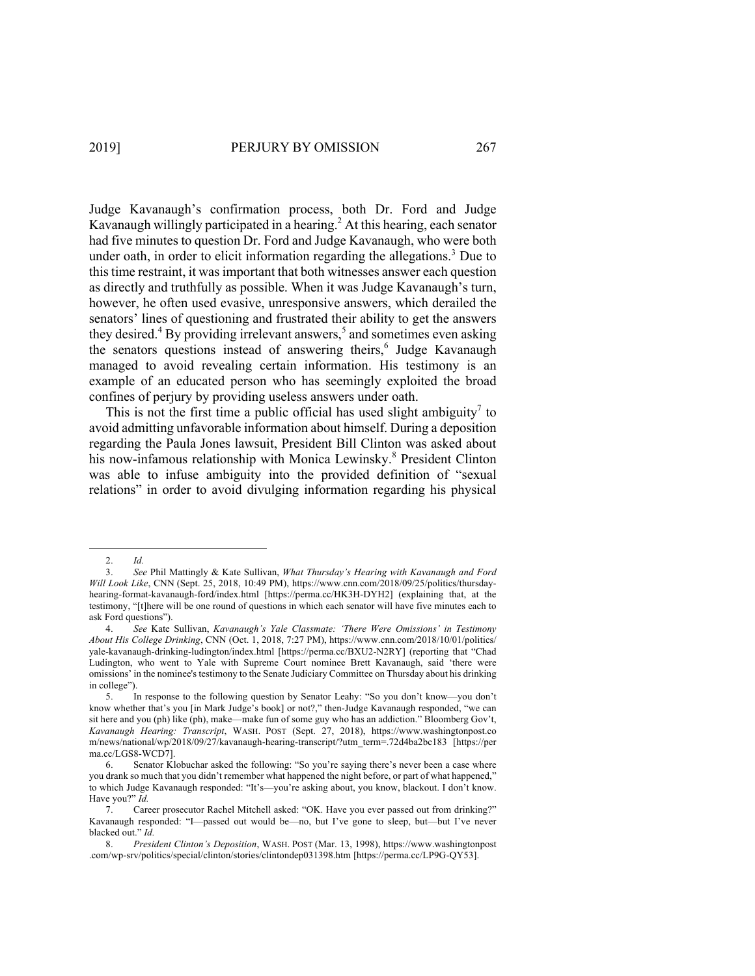Judge Kavanaugh's confirmation process, both Dr. Ford and Judge Kavanaugh willingly participated in a hearing.<sup>2</sup> At this hearing, each senator had five minutes to question Dr. Ford and Judge Kavanaugh, who were both under oath, in order to elicit information regarding the allegations.<sup>3</sup> Due to this time restraint, it was important that both witnesses answer each question as directly and truthfully as possible. When it was Judge Kavanaugh's turn, however, he often used evasive, unresponsive answers, which derailed the senators' lines of questioning and frustrated their ability to get the answers they desired.<sup>4</sup> By providing irrelevant answers,<sup>5</sup> and sometimes even asking the senators questions instead of answering theirs,<sup>6</sup> Judge Kavanaugh managed to avoid revealing certain information. His testimony is an example of an educated person who has seemingly exploited the broad confines of perjury by providing useless answers under oath.

This is not the first time a public official has used slight ambiguity<sup> $\prime$ </sup> to avoid admitting unfavorable information about himself. During a deposition regarding the Paula Jones lawsuit, President Bill Clinton was asked about his now-infamous relationship with Monica Lewinsky.<sup>8</sup> President Clinton was able to infuse ambiguity into the provided definition of "sexual relations" in order to avoid divulging information regarding his physical

<sup>2.</sup> *Id.* 

<sup>3.</sup> *See* Phil Mattingly & Kate Sullivan, *What Thursday's Hearing with Kavanaugh and Ford Will Look Like*, CNN (Sept. 25, 2018, 10:49 PM), https://www.cnn.com/2018/09/25/politics/thursdayhearing-format-kavanaugh-ford/index.html [https://perma.cc/HK3H-DYH2] (explaining that, at the testimony, "[t]here will be one round of questions in which each senator will have five minutes each to ask Ford questions").

<sup>4.</sup> *See* Kate Sullivan, *Kavanaugh's Yale Classmate: 'There Were Omissions' in Testimony About His College Drinking*, CNN (Oct. 1, 2018, 7:27 PM), https://www.cnn.com/2018/10/01/politics/ yale-kavanaugh-drinking-ludington/index.html [https://perma.cc/BXU2-N2RY] (reporting that "Chad Ludington, who went to Yale with Supreme Court nominee Brett Kavanaugh, said 'there were omissions' in the nominee's testimony to the Senate Judiciary Committee on Thursday about his drinking in college").<br> $\frac{5}{1}$ 

<sup>5.</sup> In response to the following question by Senator Leahy: "So you don't know—you don't know whether that's you [in Mark Judge's book] or not?," then-Judge Kavanaugh responded, "we can sit here and you (ph) like (ph), make—make fun of some guy who has an addiction." Bloomberg Gov't, *Kavanaugh Hearing: Transcript*, WASH. POST (Sept. 27, 2018), https://www.washingtonpost.co m/news/national/wp/2018/09/27/kavanaugh-hearing-transcript/?utm\_term=.72d4ba2bc183 [https://per ma.cc/LGS8-WCD7].

<sup>6.</sup> Senator Klobuchar asked the following: "So you're saying there's never been a case where you drank so much that you didn't remember what happened the night before, or part of what happened," to which Judge Kavanaugh responded: "It's—you're asking about, you know, blackout. I don't know. Have you?" *Id.*

<sup>7.</sup> Career prosecutor Rachel Mitchell asked: "OK. Have you ever passed out from drinking?" Kavanaugh responded: "I—passed out would be—no, but I've gone to sleep, but—but I've never blacked out." *Id.*

<sup>8.</sup> *President Clinton's Deposition*, WASH. POST (Mar. 13, 1998), https://www.washingtonpost .com/wp-srv/politics/special/clinton/stories/clintondep031398.htm [https://perma.cc/LP9G-QY53].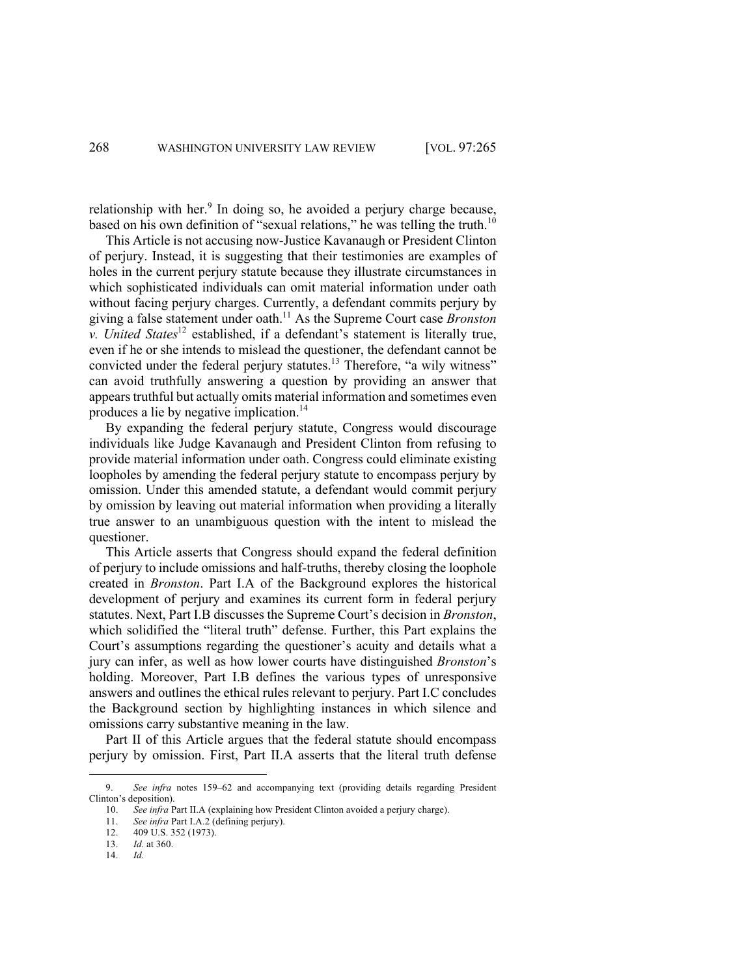relationship with her. $9$  In doing so, he avoided a perjury charge because, based on his own definition of "sexual relations," he was telling the truth.<sup>10</sup>

This Article is not accusing now-Justice Kavanaugh or President Clinton of perjury. Instead, it is suggesting that their testimonies are examples of holes in the current perjury statute because they illustrate circumstances in which sophisticated individuals can omit material information under oath without facing perjury charges. Currently, a defendant commits perjury by giving a false statement under oath.11 As the Supreme Court case *Bronston v. United States*<sup>12</sup> established, if a defendant's statement is literally true, even if he or she intends to mislead the questioner, the defendant cannot be convicted under the federal perjury statutes.<sup>13</sup> Therefore, "a wily witness" can avoid truthfully answering a question by providing an answer that appears truthful but actually omits material information and sometimes even produces a lie by negative implication.14

By expanding the federal perjury statute, Congress would discourage individuals like Judge Kavanaugh and President Clinton from refusing to provide material information under oath. Congress could eliminate existing loopholes by amending the federal perjury statute to encompass perjury by omission. Under this amended statute, a defendant would commit perjury by omission by leaving out material information when providing a literally true answer to an unambiguous question with the intent to mislead the questioner.

This Article asserts that Congress should expand the federal definition of perjury to include omissions and half-truths, thereby closing the loophole created in *Bronston*. Part I.A of the Background explores the historical development of perjury and examines its current form in federal perjury statutes. Next, Part I.B discusses the Supreme Court's decision in *Bronston*, which solidified the "literal truth" defense. Further, this Part explains the Court's assumptions regarding the questioner's acuity and details what a jury can infer, as well as how lower courts have distinguished *Bronston*'s holding. Moreover, Part I.B defines the various types of unresponsive answers and outlines the ethical rules relevant to perjury. Part I.C concludes the Background section by highlighting instances in which silence and omissions carry substantive meaning in the law.

Part II of this Article argues that the federal statute should encompass perjury by omission. First, Part II.A asserts that the literal truth defense

<sup>9.</sup> *See infra* notes 159–62 and accompanying text (providing details regarding President Clinton's deposition).

<sup>10.</sup> *See infra* Part II.A (explaining how President Clinton avoided a perjury charge).

<sup>11.</sup> *See infra* Part I.A.2 (defining perjury).

<sup>12.</sup> 409 U.S. 352 (1973).

<sup>13.</sup> *Id.* at 360.

<sup>14.</sup> *Id.*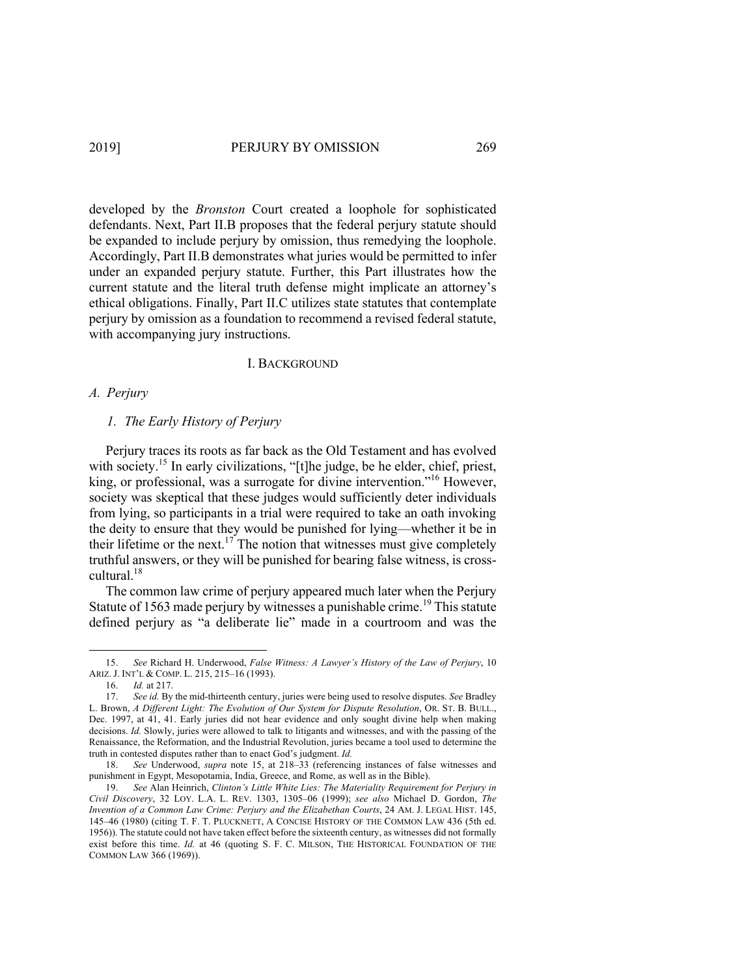developed by the *Bronston* Court created a loophole for sophisticated defendants. Next, Part II.B proposes that the federal perjury statute should be expanded to include perjury by omission, thus remedying the loophole. Accordingly, Part II.B demonstrates what juries would be permitted to infer under an expanded perjury statute. Further, this Part illustrates how the current statute and the literal truth defense might implicate an attorney's ethical obligations. Finally, Part II.C utilizes state statutes that contemplate perjury by omission as a foundation to recommend a revised federal statute, with accompanying jury instructions.

#### I. BACKGROUND

# *A. Perjury*

# *1. The Early History of Perjury*

Perjury traces its roots as far back as the Old Testament and has evolved with society.<sup>15</sup> In early civilizations, "[t]he judge, be he elder, chief, priest, king, or professional, was a surrogate for divine intervention."<sup>16</sup> However, society was skeptical that these judges would sufficiently deter individuals from lying, so participants in a trial were required to take an oath invoking the deity to ensure that they would be punished for lying––whether it be in their lifetime or the next.<sup>17</sup> The notion that witnesses must give completely truthful answers, or they will be punished for bearing false witness, is crosscultural.18

The common law crime of perjury appeared much later when the Perjury Statute of 1563 made perjury by witnesses a punishable crime.<sup>19</sup> This statute defined perjury as "a deliberate lie" made in a courtroom and was the

<sup>15.</sup> *See* Richard H. Underwood, *False Witness: A Lawyer's History of the Law of Perjury*, 10 ARIZ. J. INT'L & COMP. L. 215, 215–16 (1993).

<sup>16.</sup> *Id.* at 217.

<sup>17.</sup> *See id.* By the mid-thirteenth century, juries were being used to resolve disputes. *See* Bradley L. Brown, *A Different Light: The Evolution of Our System for Dispute Resolution*, OR. ST. B. BULL., Dec. 1997, at 41, 41. Early juries did not hear evidence and only sought divine help when making decisions. *Id.* Slowly, juries were allowed to talk to litigants and witnesses, and with the passing of the Renaissance, the Reformation, and the Industrial Revolution, juries became a tool used to determine the truth in contested disputes rather than to enact God's judgment. *Id.*

<sup>18.</sup> *See* Underwood, *supra* note 15, at 218–33 (referencing instances of false witnesses and punishment in Egypt, Mesopotamia, India, Greece, and Rome, as well as in the Bible).

<sup>19.</sup> *See* Alan Heinrich, *Clinton's Little White Lies: The Materiality Requirement for Perjury in Civil Discovery*, 32 LOY. L.A. L. REV. 1303, 1305–06 (1999); *see also* Michael D. Gordon, *The Invention of a Common Law Crime: Perjury and the Elizabethan Courts*, 24 AM. J. LEGAL HIST. 145, 145–46 (1980) (citing T. F. T. PLUCKNETT, A CONCISE HISTORY OF THE COMMON LAW 436 (5th ed. 1956)). The statute could not have taken effect before the sixteenth century, as witnesses did not formally exist before this time. *Id.* at 46 (quoting S. F. C. MILSON, THE HISTORICAL FOUNDATION OF THE COMMON LAW 366 (1969)).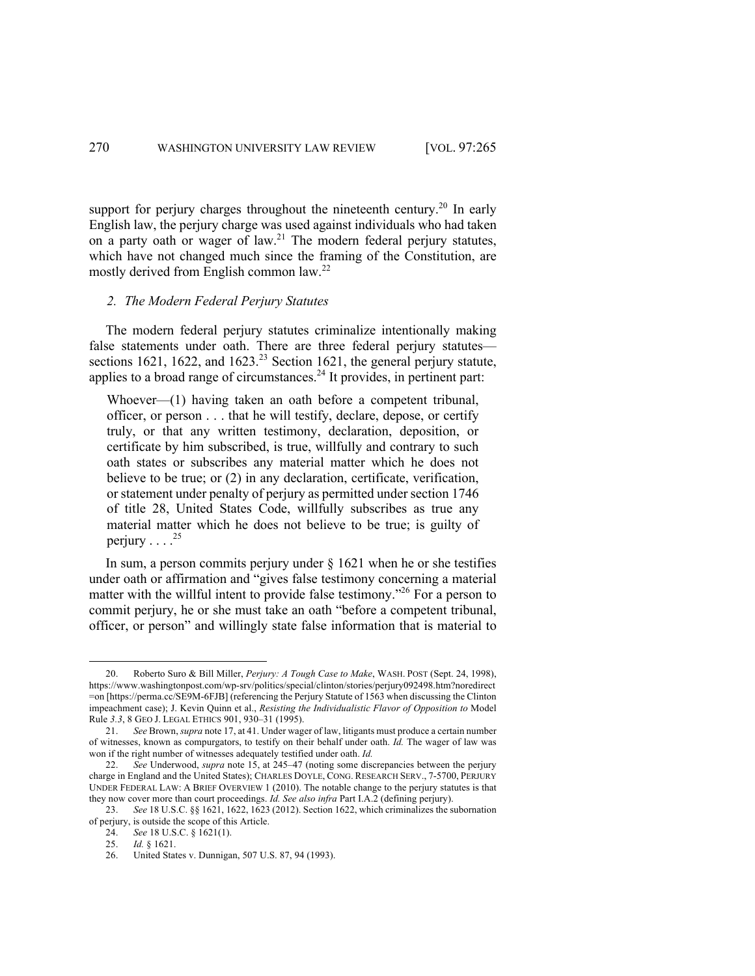support for perjury charges throughout the nineteenth century.<sup>20</sup> In early English law, the perjury charge was used against individuals who had taken on a party oath or wager of law.<sup>21</sup> The modern federal perjury statutes, which have not changed much since the framing of the Constitution, are mostly derived from English common law.<sup>22</sup>

#### *2. The Modern Federal Perjury Statutes*

The modern federal perjury statutes criminalize intentionally making false statements under oath. There are three federal perjury statutes sections 1621, 1622, and 1623.<sup>23</sup> Section 1621, the general perjury statute, applies to a broad range of circumstances.<sup>24</sup> It provides, in pertinent part:

Whoever—(1) having taken an oath before a competent tribunal, officer, or person . . . that he will testify, declare, depose, or certify truly, or that any written testimony, declaration, deposition, or certificate by him subscribed, is true, willfully and contrary to such oath states or subscribes any material matter which he does not believe to be true; or (2) in any declaration, certificate, verification, or statement under penalty of perjury as permitted under section 1746 of title 28, United States Code, willfully subscribes as true any material matter which he does not believe to be true; is guilty of perjury  $\ldots$ <sup>25</sup>

In sum, a person commits perjury under  $\S 1621$  when he or she testifies under oath or affirmation and "gives false testimony concerning a material matter with the willful intent to provide false testimony.<sup> $26$ </sup> For a person to commit perjury, he or she must take an oath "before a competent tribunal, officer, or person" and willingly state false information that is material to

<sup>20.</sup> Roberto Suro & Bill Miller, *Perjury: A Tough Case to Make*, WASH. POST (Sept. 24, 1998), https://www.washingtonpost.com/wp-srv/politics/special/clinton/stories/perjury092498.htm?noredirect =on [https://perma.cc/SE9M-6FJB] (referencing the Perjury Statute of 1563 when discussing the Clinton impeachment case); J. Kevin Quinn et al., *Resisting the Individualistic Flavor of Opposition to* Model Rule *3.3*, 8 GEO J. LEGAL ETHICS 901, 930–31 (1995).

<sup>21.</sup> *See* Brown, *supra* note 17, at 41. Under wager of law, litigants must produce a certain number of witnesses, known as compurgators, to testify on their behalf under oath. *Id.* The wager of law was won if the right number of witnesses adequately testified under oath. *Id.* 

<sup>22.</sup> *See* Underwood, *supra* note 15, at 245–47 (noting some discrepancies between the perjury charge in England and the United States); CHARLES DOYLE, CONG. RESEARCH SERV., 7-5700, PERJURY UNDER FEDERAL LAW: A BRIEF OVERVIEW 1 (2010). The notable change to the perjury statutes is that they now cover more than court proceedings. *Id. See also infra* Part I.A.2 (defining perjury).

<sup>23.</sup> *See* 18 U.S.C. §§ 1621, 1622, 1623 (2012). Section 1622, which criminalizes the subornation of perjury, is outside the scope of this Article.

<sup>24.</sup> *See* 18 U.S.C. § 1621(1).

<sup>25.</sup> *Id.* § 1621.

<sup>26.</sup> United States v. Dunnigan, 507 U.S. 87, 94 (1993).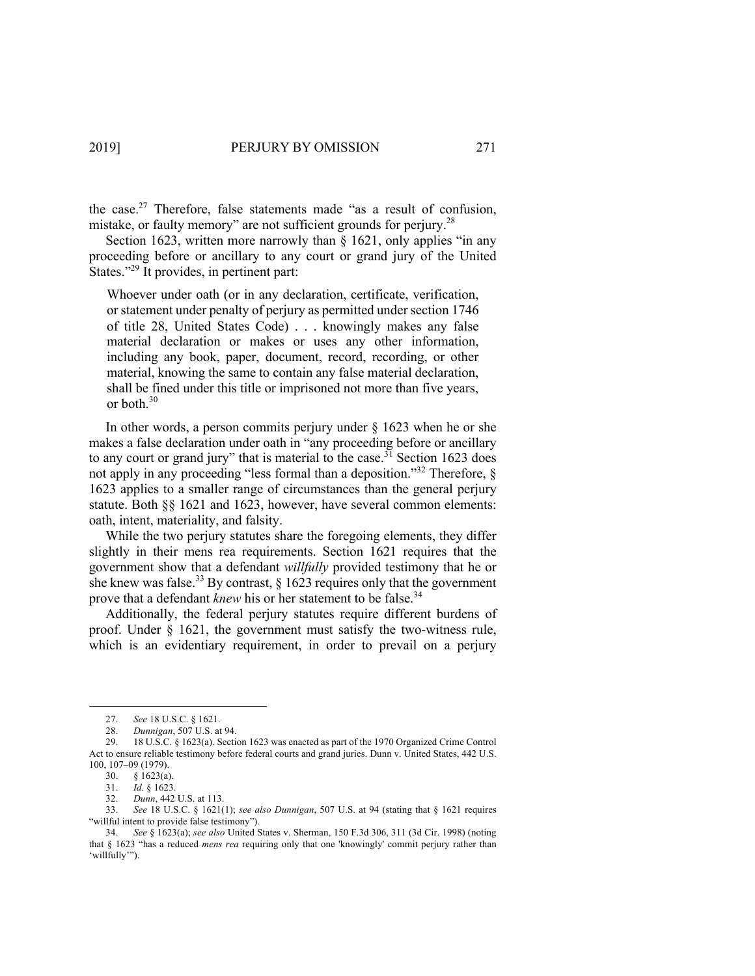the case. $27$  Therefore, false statements made "as a result of confusion, mistake, or faulty memory" are not sufficient grounds for perjury.<sup>28</sup>

Section 1623, written more narrowly than § 1621, only applies "in any proceeding before or ancillary to any court or grand jury of the United States."<sup>29</sup> It provides, in pertinent part:

Whoever under oath (or in any declaration, certificate, verification, or statement under penalty of perjury as permitted under section 1746 of title 28, United States Code) . . . knowingly makes any false material declaration or makes or uses any other information, including any book, paper, document, record, recording, or other material, knowing the same to contain any false material declaration, shall be fined under this title or imprisoned not more than five years, or both.<sup>30</sup>

In other words, a person commits perjury under  $\S$  1623 when he or she makes a false declaration under oath in "any proceeding before or ancillary to any court or grand jury" that is material to the case.<sup>31</sup> Section 1623 does not apply in any proceeding "less formal than a deposition."<sup>32</sup> Therefore, § 1623 applies to a smaller range of circumstances than the general perjury statute. Both §§ 1621 and 1623, however, have several common elements: oath, intent, materiality, and falsity.

While the two perjury statutes share the foregoing elements, they differ slightly in their mens rea requirements. Section 1621 requires that the government show that a defendant *willfully* provided testimony that he or she knew was false.<sup>33</sup> By contrast,  $\S$  1623 requires only that the government prove that a defendant *knew* his or her statement to be false.<sup>34</sup>

Additionally, the federal perjury statutes require different burdens of proof. Under § 1621, the government must satisfy the two-witness rule, which is an evidentiary requirement, in order to prevail on a perjury

<sup>27.</sup> *See* 18 U.S.C. § 1621.

<sup>28.</sup> *Dunnigan*, 507 U.S. at 94.

<sup>29.</sup> 18 U.S.C. § 1623(a). Section 1623 was enacted as part of the 1970 Organized Crime Control Act to ensure reliable testimony before federal courts and grand juries. Dunn v. United States, 442 U.S. 100, 107–09 (1979).

<sup>30.</sup> § 1623(a).

<sup>31.</sup> *Id.* § 1623.

<sup>32.</sup> *Dunn*, 442 U.S. at 113.

<sup>33.</sup> *See* 18 U.S.C. § 1621(1); *see also Dunnigan*, 507 U.S. at 94 (stating that § 1621 requires "willful intent to provide false testimony").

<sup>34.</sup> *See* § 1623(a); *see also* United States v. Sherman, 150 F.3d 306, 311 (3d Cir. 1998) (noting that § 1623 "has a reduced *mens rea* requiring only that one 'knowingly' commit perjury rather than 'willfully'").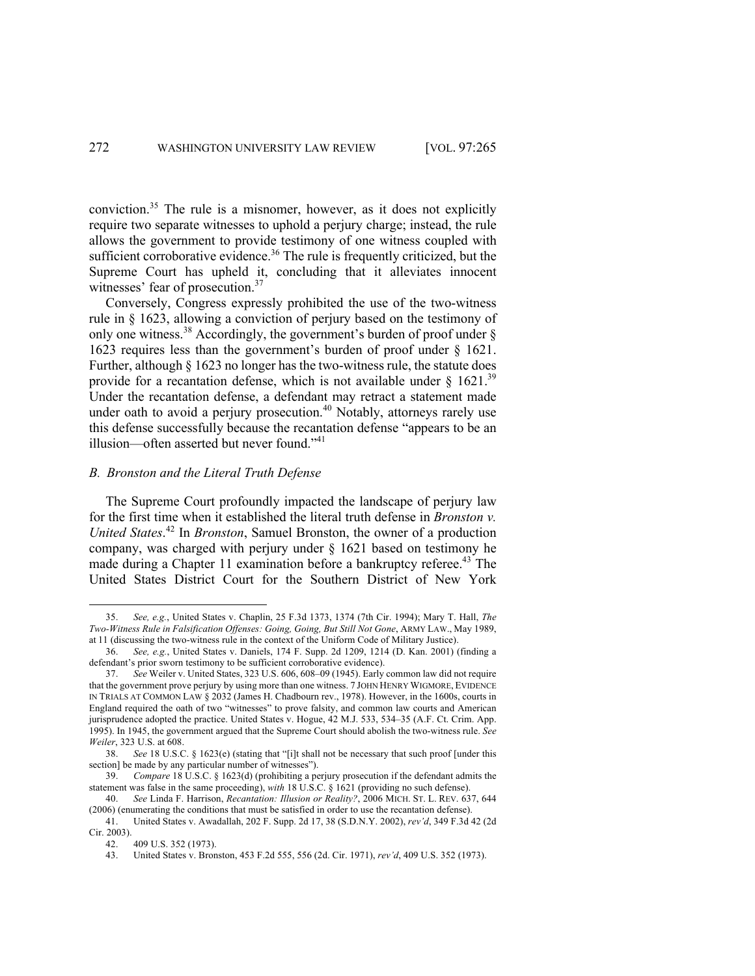conviction.35 The rule is a misnomer, however, as it does not explicitly require two separate witnesses to uphold a perjury charge; instead, the rule allows the government to provide testimony of one witness coupled with sufficient corroborative evidence.<sup>36</sup> The rule is frequently criticized, but the Supreme Court has upheld it, concluding that it alleviates innocent witnesses' fear of prosecution.<sup>37</sup>

Conversely, Congress expressly prohibited the use of the two-witness rule in § 1623, allowing a conviction of perjury based on the testimony of only one witness.<sup>38</sup> Accordingly, the government's burden of proof under  $\delta$ 1623 requires less than the government's burden of proof under § 1621. Further, although § 1623 no longer has the two-witness rule, the statute does provide for a recantation defense, which is not available under  $\S$  1621.<sup>39</sup> Under the recantation defense, a defendant may retract a statement made under oath to avoid a perjury prosecution.<sup>40</sup> Notably, attorneys rarely use this defense successfully because the recantation defense "appears to be an illusion—often asserted but never found."<sup>41</sup>

### *B. Bronston and the Literal Truth Defense*

The Supreme Court profoundly impacted the landscape of perjury law for the first time when it established the literal truth defense in *Bronston v. United States*. <sup>42</sup> In *Bronston*, Samuel Bronston, the owner of a production company, was charged with perjury under § 1621 based on testimony he made during a Chapter 11 examination before a bankruptcy referee.<sup>43</sup> The United States District Court for the Southern District of New York

<sup>35.</sup> *See, e.g.*, United States v. Chaplin, 25 F.3d 1373, 1374 (7th Cir. 1994); Mary T. Hall, *The Two-Witness Rule in Falsification Offenses: Going, Going, But Still Not Gone*, ARMY LAW., May 1989, at 11 (discussing the two-witness rule in the context of the Uniform Code of Military Justice).

<sup>36.</sup> *See, e.g.*, United States v. Daniels, 174 F. Supp. 2d 1209, 1214 (D. Kan. 2001) (finding a defendant's prior sworn testimony to be sufficient corroborative evidence).

<sup>37.</sup> *See* Weiler v. United States, 323 U.S. 606, 608–09 (1945). Early common law did not require that the government prove perjury by using more than one witness. 7 JOHN HENRY WIGMORE, EVIDENCE IN TRIALS AT COMMON LAW § 2032 (James H. Chadbourn rev., 1978). However, in the 1600s, courts in England required the oath of two "witnesses" to prove falsity, and common law courts and American jurisprudence adopted the practice. United States v. Hogue, 42 M.J. 533, 534–35 (A.F. Ct. Crim. App. 1995). In 1945, the government argued that the Supreme Court should abolish the two-witness rule. *See Weiler*, 323 U.S. at 608.

<sup>38.</sup> *See* 18 U.S.C. § 1623(e) (stating that "[i]t shall not be necessary that such proof [under this section] be made by any particular number of witnesses").

<sup>39.</sup> *Compare* 18 U.S.C. § 1623(d) (prohibiting a perjury prosecution if the defendant admits the statement was false in the same proceeding), *with* 18 U.S.C. § 1621 (providing no such defense).

<sup>40.</sup> *See* Linda F. Harrison, *Recantation: Illusion or Reality?*, 2006 MICH. ST. L. REV. 637, 644 (2006) (enumerating the conditions that must be satisfied in order to use the recantation defense).

<sup>41.</sup> United States v. Awadallah, 202 F. Supp. 2d 17, 38 (S.D.N.Y. 2002), *rev'd*, 349 F.3d 42 (2d Cir. 2003).

<sup>42.</sup> 409 U.S. 352 (1973).

<sup>43.</sup> United States v. Bronston, 453 F.2d 555, 556 (2d. Cir. 1971), *rev'd*, 409 U.S. 352 (1973).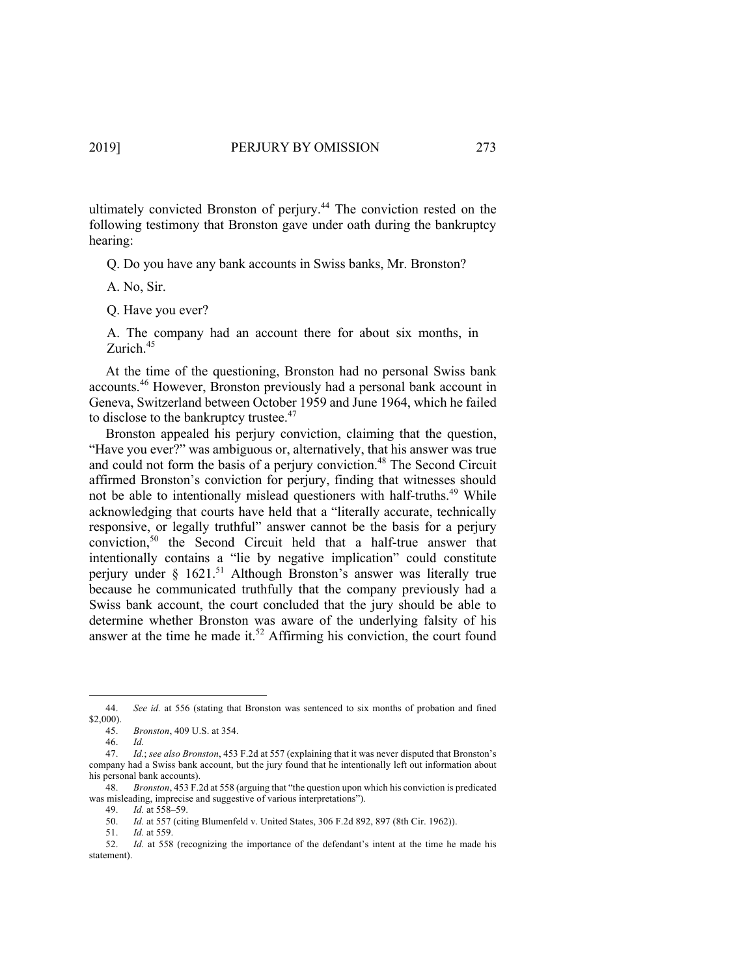ultimately convicted Bronston of perjury.<sup>44</sup> The conviction rested on the following testimony that Bronston gave under oath during the bankruptcy hearing:

Q. Do you have any bank accounts in Swiss banks, Mr. Bronston?

- A. No, Sir.
- Q. Have you ever?

A. The company had an account there for about six months, in Zurich.<sup>45</sup>

At the time of the questioning, Bronston had no personal Swiss bank accounts.<sup>46</sup> However, Bronston previously had a personal bank account in Geneva, Switzerland between October 1959 and June 1964, which he failed to disclose to the bankruptcy trustee.<sup>47</sup>

Bronston appealed his perjury conviction, claiming that the question, "Have you ever?" was ambiguous or, alternatively, that his answer was true and could not form the basis of a periury conviction.<sup>48</sup> The Second Circuit affirmed Bronston's conviction for perjury, finding that witnesses should not be able to intentionally mislead questioners with half-truths.<sup>49</sup> While acknowledging that courts have held that a "literally accurate, technically responsive, or legally truthful" answer cannot be the basis for a perjury conviction,50 the Second Circuit held that a half-true answer that intentionally contains a "lie by negative implication" could constitute perjury under § 1621.<sup>51</sup> Although Bronston's answer was literally true because he communicated truthfully that the company previously had a Swiss bank account, the court concluded that the jury should be able to determine whether Bronston was aware of the underlying falsity of his answer at the time he made it.<sup>52</sup> Affirming his conviction, the court found

<sup>44.</sup> *See id.* at 556 (stating that Bronston was sentenced to six months of probation and fined \$2,000).

<sup>45.</sup> *Bronston*, 409 U.S. at 354.

<sup>46.</sup> *Id.*

<sup>47.</sup> *Id.*; *see also Bronston*, 453 F.2d at 557 (explaining that it was never disputed that Bronston's company had a Swiss bank account, but the jury found that he intentionally left out information about his personal bank accounts).

<sup>48.</sup> *Bronston*, 453 F.2d at 558 (arguing that "the question upon which his conviction is predicated was misleading, imprecise and suggestive of various interpretations"). 49. *Id.* at 558–59.

<sup>50.</sup> *Id.* at 557 (citing Blumenfeld v. United States, 306 F.2d 892, 897 (8th Cir. 1962)).

<sup>51.</sup> *Id.* at 559.

<sup>52.</sup> *Id.* at 558 (recognizing the importance of the defendant's intent at the time he made his statement).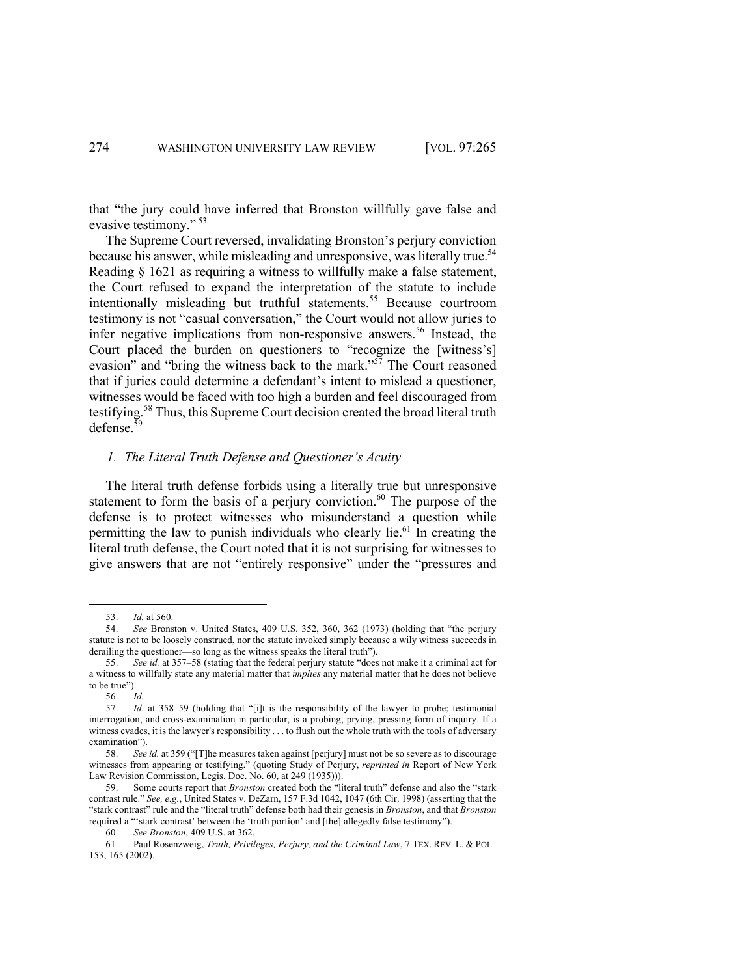that "the jury could have inferred that Bronston willfully gave false and evasive testimony." <sup>53</sup>

The Supreme Court reversed, invalidating Bronston's perjury conviction because his answer, while misleading and unresponsive, was literally true.<sup>54</sup> Reading § 1621 as requiring a witness to willfully make a false statement, the Court refused to expand the interpretation of the statute to include intentionally misleading but truthful statements.<sup>55</sup> Because courtroom testimony is not "casual conversation," the Court would not allow juries to infer negative implications from non-responsive answers.<sup>56</sup> Instead, the Court placed the burden on questioners to "recognize the [witness's] evasion" and "bring the witness back to the mark."<sup>57</sup> The Court reasoned that if juries could determine a defendant's intent to mislead a questioner, witnesses would be faced with too high a burden and feel discouraged from testifying.<sup>58</sup> Thus, this Supreme Court decision created the broad literal truth  $defense.<sup>59</sup>$ 

### *1. The Literal Truth Defense and Questioner's Acuity*

The literal truth defense forbids using a literally true but unresponsive statement to form the basis of a perjury conviction.<sup>60</sup> The purpose of the defense is to protect witnesses who misunderstand a question while permitting the law to punish individuals who clearly lie.<sup>61</sup> In creating the literal truth defense, the Court noted that it is not surprising for witnesses to give answers that are not "entirely responsive" under the "pressures and

<sup>53.</sup> *Id.* at 560.

<sup>54.</sup> *See* Bronston v. United States, 409 U.S. 352, 360, 362 (1973) (holding that "the perjury statute is not to be loosely construed, nor the statute invoked simply because a wily witness succeeds in derailing the questioner—so long as the witness speaks the literal truth").

<sup>55.</sup> *See id.* at 357–58 (stating that the federal perjury statute "does not make it a criminal act for a witness to willfully state any material matter that *implies* any material matter that he does not believe to be true").

<sup>56.</sup> *Id.*

<sup>57.</sup> *Id.* at 358–59 (holding that "[i]t is the responsibility of the lawyer to probe; testimonial interrogation, and cross-examination in particular, is a probing, prying, pressing form of inquiry. If a witness evades, it is the lawyer's responsibility . . . to flush out the whole truth with the tools of adversary examination").

<sup>58.</sup> *See id.* at 359 ("[T]he measures taken against [perjury] must not be so severe as to discourage witnesses from appearing or testifying." (quoting Study of Perjury, *reprinted in* Report of New York Law Revision Commission, Legis. Doc. No. 60, at 249 (1935))).

<sup>59.</sup> Some courts report that *Bronston* created both the "literal truth" defense and also the "stark contrast rule." *See, e.g.*, United States v. DeZarn, 157 F.3d 1042, 1047 (6th Cir. 1998) (asserting that the "stark contrast" rule and the "literal truth" defense both had their genesis in *Bronston*, and that *Bronston*  required a "'stark contrast' between the 'truth portion' and [the] allegedly false testimony").

<sup>60.</sup> *See Bronston*, 409 U.S. at 362.

<sup>61.</sup> Paul Rosenzweig, *Truth, Privileges, Perjury, and the Criminal Law*, 7 TEX. REV. L. & POL. 153, 165 (2002).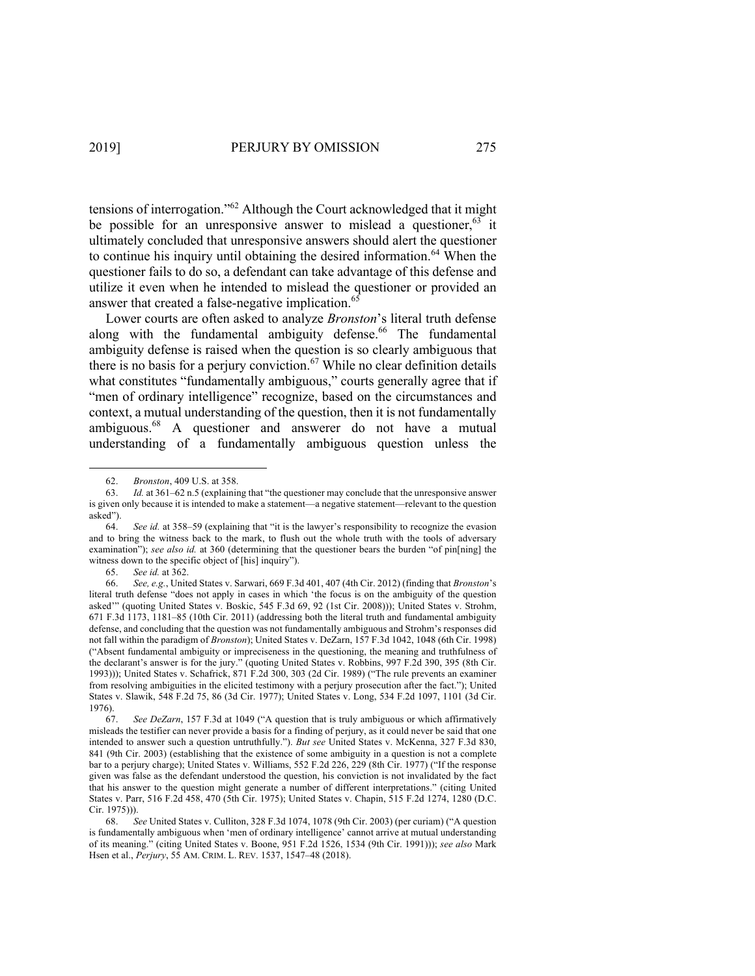tensions of interrogation."62 Although the Court acknowledged that it might be possible for an unresponsive answer to mislead a questioner,  $63$  it ultimately concluded that unresponsive answers should alert the questioner to continue his inquiry until obtaining the desired information.<sup>64</sup> When the questioner fails to do so, a defendant can take advantage of this defense and utilize it even when he intended to mislead the questioner or provided an answer that created a false-negative implication.<sup>65</sup>

Lower courts are often asked to analyze *Bronston*'s literal truth defense along with the fundamental ambiguity defense.<sup>66</sup> The fundamental ambiguity defense is raised when the question is so clearly ambiguous that there is no basis for a perjury conviction.<sup>67</sup> While no clear definition details what constitutes "fundamentally ambiguous," courts generally agree that if "men of ordinary intelligence" recognize, based on the circumstances and context, a mutual understanding of the question, then it is not fundamentally ambiguous.<sup>68</sup> A questioner and answerer do not have a mutual understanding of a fundamentally ambiguous question unless the

65. *See id.* at 362.

<sup>62.</sup> *Bronston*, 409 U.S. at 358.

<sup>63.</sup> *Id.* at 361–62 n.5 (explaining that "the questioner may conclude that the unresponsive answer is given only because it is intended to make a statement—a negative statement—relevant to the question asked").

<sup>64.</sup> *See id.* at 358–59 (explaining that "it is the lawyer's responsibility to recognize the evasion and to bring the witness back to the mark, to flush out the whole truth with the tools of adversary examination"); *see also id.* at 360 (determining that the questioner bears the burden "of pin[ning] the witness down to the specific object of [his] inquiry").

<sup>66.</sup> *See, e.g.*, United States v. Sarwari, 669 F.3d 401, 407 (4th Cir. 2012) (finding that *Bronston*'s literal truth defense "does not apply in cases in which 'the focus is on the ambiguity of the question asked'" (quoting United States v. Boskic, 545 F.3d 69, 92 (1st Cir. 2008))); United States v. Strohm, 671 F.3d 1173, 1181–85 (10th Cir. 2011) (addressing both the literal truth and fundamental ambiguity defense, and concluding that the question was not fundamentally ambiguous and Strohm's responses did not fall within the paradigm of *Bronston*); United States v. DeZarn, 157 F.3d 1042, 1048 (6th Cir. 1998) ("Absent fundamental ambiguity or impreciseness in the questioning, the meaning and truthfulness of the declarant's answer is for the jury." (quoting United States v. Robbins, 997 F.2d 390, 395 (8th Cir. 1993))); United States v. Schafrick, 871 F.2d 300, 303 (2d Cir. 1989) ("The rule prevents an examiner from resolving ambiguities in the elicited testimony with a perjury prosecution after the fact."); United States v. Slawik, 548 F.2d 75, 86 (3d Cir. 1977); United States v. Long, 534 F.2d 1097, 1101 (3d Cir. 1976).

<sup>67.</sup> *See DeZarn*, 157 F.3d at 1049 ("A question that is truly ambiguous or which affirmatively misleads the testifier can never provide a basis for a finding of perjury, as it could never be said that one intended to answer such a question untruthfully."). *But see* United States v. McKenna, 327 F.3d 830, 841 (9th Cir. 2003) (establishing that the existence of some ambiguity in a question is not a complete bar to a perjury charge); United States v. Williams, 552 F.2d 226, 229 (8th Cir. 1977) ("If the response given was false as the defendant understood the question, his conviction is not invalidated by the fact that his answer to the question might generate a number of different interpretations." (citing United States v. Parr, 516 F.2d 458, 470 (5th Cir. 1975); United States v. Chapin, 515 F.2d 1274, 1280 (D.C. Cir. 1975))).

<sup>68.</sup> *See* United States v. Culliton, 328 F.3d 1074, 1078 (9th Cir. 2003) (per curiam) ("A question is fundamentally ambiguous when 'men of ordinary intelligence' cannot arrive at mutual understanding of its meaning." (citing United States v. Boone, 951 F.2d 1526, 1534 (9th Cir. 1991))); *see also* Mark Hsen et al., *Perjury*, 55 AM. CRIM. L. REV. 1537, 1547–48 (2018).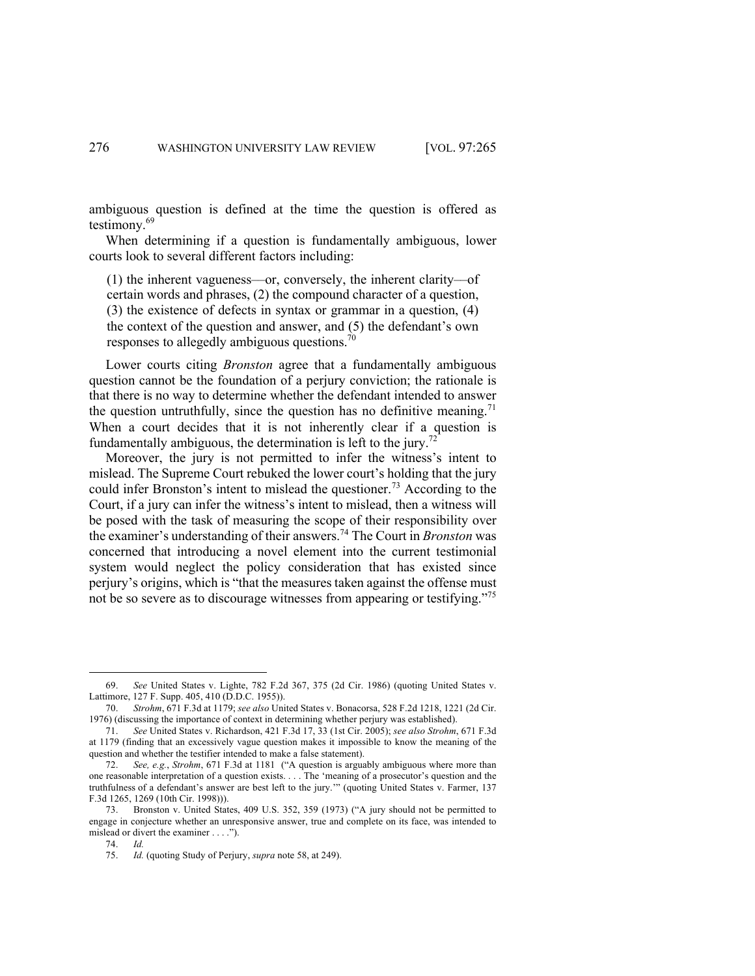ambiguous question is defined at the time the question is offered as testimony.<sup>69</sup>

When determining if a question is fundamentally ambiguous, lower courts look to several different factors including:

(1) the inherent vagueness––or, conversely, the inherent clarity––of certain words and phrases, (2) the compound character of a question, (3) the existence of defects in syntax or grammar in a question, (4) the context of the question and answer, and (5) the defendant's own responses to allegedly ambiguous questions.<sup>70</sup>

Lower courts citing *Bronston* agree that a fundamentally ambiguous question cannot be the foundation of a perjury conviction; the rationale is that there is no way to determine whether the defendant intended to answer the question untruthfully, since the question has no definitive meaning.<sup>71</sup> When a court decides that it is not inherently clear if a question is fundamentally ambiguous, the determination is left to the jury.<sup>72</sup>

Moreover, the jury is not permitted to infer the witness's intent to mislead. The Supreme Court rebuked the lower court's holding that the jury could infer Bronston's intent to mislead the questioner.<sup>73</sup> According to the Court, if a jury can infer the witness's intent to mislead, then a witness will be posed with the task of measuring the scope of their responsibility over the examiner's understanding of their answers.74 The Court in *Bronston* was concerned that introducing a novel element into the current testimonial system would neglect the policy consideration that has existed since perjury's origins, which is "that the measures taken against the offense must not be so severe as to discourage witnesses from appearing or testifying."75

<sup>69.</sup> *See* United States v. Lighte, 782 F.2d 367, 375 (2d Cir. 1986) (quoting United States v. Lattimore, 127 F. Supp. 405, 410 (D.D.C. 1955)).

<sup>70.</sup> *Strohm*, 671 F.3d at 1179; *see also* United States v. Bonacorsa, 528 F.2d 1218, 1221 (2d Cir. 1976) (discussing the importance of context in determining whether perjury was established).

<sup>71.</sup> *See* United States v. Richardson, 421 F.3d 17, 33 (1st Cir. 2005); *see also Strohm*, 671 F.3d at 1179 (finding that an excessively vague question makes it impossible to know the meaning of the question and whether the testifier intended to make a false statement).

<sup>72.</sup> *See, e.g.*, *Strohm*, 671 F.3d at 1181 ("A question is arguably ambiguous where more than one reasonable interpretation of a question exists. . . . The 'meaning of a prosecutor's question and the truthfulness of a defendant's answer are best left to the jury.'" (quoting United States v. Farmer, 137 F.3d 1265, 1269 (10th Cir. 1998))).

<sup>73.</sup> Bronston v. United States, 409 U.S. 352, 359 (1973) ("A jury should not be permitted to engage in conjecture whether an unresponsive answer, true and complete on its face, was intended to mislead or divert the examiner . . . .").

<sup>74.</sup> *Id.* 

<sup>75.</sup> *Id.* (quoting Study of Perjury, *supra* note 58, at 249).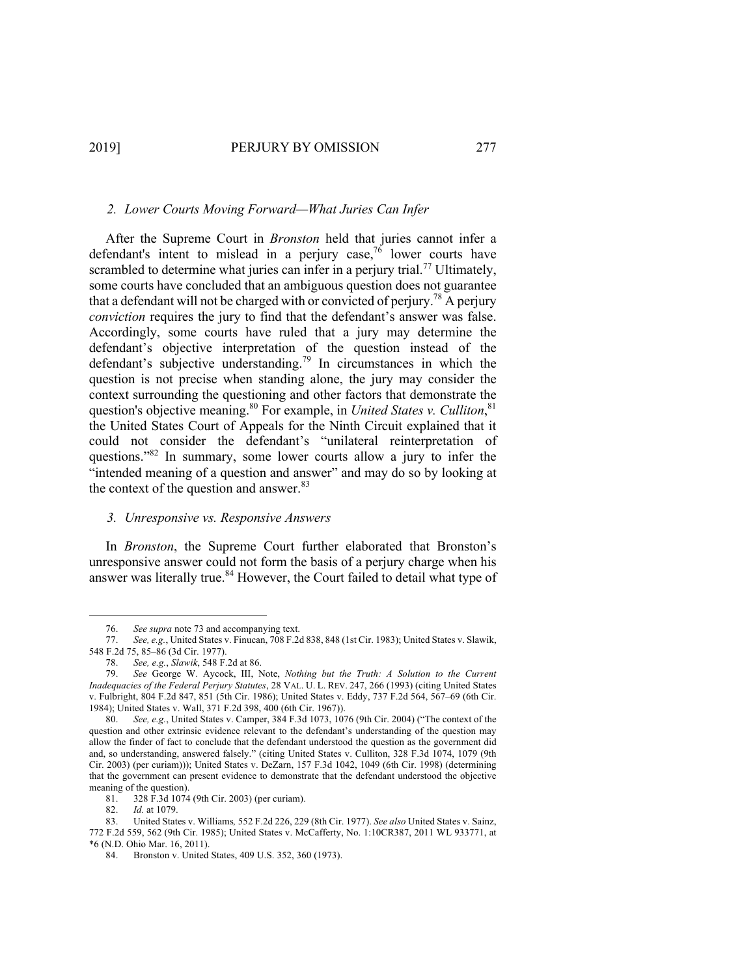# *2. Lower Courts Moving Forward—What Juries Can Infer*

After the Supreme Court in *Bronston* held that juries cannot infer a defendant's intent to mislead in a perjury case,<sup>76</sup> lower courts have scrambled to determine what juries can infer in a periury trial.<sup>77</sup> Ultimately, some courts have concluded that an ambiguous question does not guarantee that a defendant will not be charged with or convicted of perjury.<sup>78</sup> A perjury *conviction* requires the jury to find that the defendant's answer was false. Accordingly, some courts have ruled that a jury may determine the defendant's objective interpretation of the question instead of the defendant's subjective understanding.<sup>79</sup> In circumstances in which the question is not precise when standing alone, the jury may consider the context surrounding the questioning and other factors that demonstrate the question's objective meaning.<sup>80</sup> For example, in *United States v. Culliton*,<sup>81</sup> the United States Court of Appeals for the Ninth Circuit explained that it could not consider the defendant's "unilateral reinterpretation of questions."82 In summary, some lower courts allow a jury to infer the "intended meaning of a question and answer" and may do so by looking at the context of the question and answer.<sup>83</sup>

# *3. Unresponsive vs. Responsive Answers*

In *Bronston*, the Supreme Court further elaborated that Bronston's unresponsive answer could not form the basis of a perjury charge when his answer was literally true.<sup>84</sup> However, the Court failed to detail what type of

81. 328 F.3d 1074 (9th Cir. 2003) (per curiam).

<sup>76.</sup> *See supra* note 73 and accompanying text.

<sup>77.</sup> *See, e.g.*, United States v. Finucan, 708 F.2d 838, 848 (1st Cir. 1983); United States v. Slawik, 548 F.2d 75, 85–86 (3d Cir. 1977).

<sup>78.</sup> *See, e.g.*, *Slawik*, 548 F.2d at 86.

<sup>79.</sup> *See* George W. Aycock, III, Note, *Nothing but the Truth: A Solution to the Current Inadequacies of the Federal Perjury Statutes*, 28 VAL. U. L. REV. 247, 266 (1993) (citing United States v. Fulbright, 804 F.2d 847, 851 (5th Cir. 1986); United States v. Eddy, 737 F.2d 564, 567–69 (6th Cir. 1984); United States v. Wall, 371 F.2d 398, 400 (6th Cir. 1967)).

<sup>80.</sup> *See, e.g.*, United States v. Camper, 384 F.3d 1073, 1076 (9th Cir. 2004) ("The context of the question and other extrinsic evidence relevant to the defendant's understanding of the question may allow the finder of fact to conclude that the defendant understood the question as the government did and, so understanding, answered falsely." (citing United States v. Culliton, 328 F.3d 1074, 1079 (9th Cir. 2003) (per curiam))); United States v. DeZarn, 157 F.3d 1042, 1049 (6th Cir. 1998) (determining that the government can present evidence to demonstrate that the defendant understood the objective meaning of the question).

<sup>82.</sup> *Id.* at 1079.

<sup>83.</sup> United States v. Williams*,* 552 F.2d 226, 229 (8th Cir. 1977). *See also* United States v. Sainz, 772 F.2d 559, 562 (9th Cir. 1985); United States v. McCafferty, No. 1:10CR387, 2011 WL 933771, at \*6 (N.D. Ohio Mar. 16, 2011).

<sup>84.</sup> Bronston v. United States, 409 U.S. 352, 360 (1973).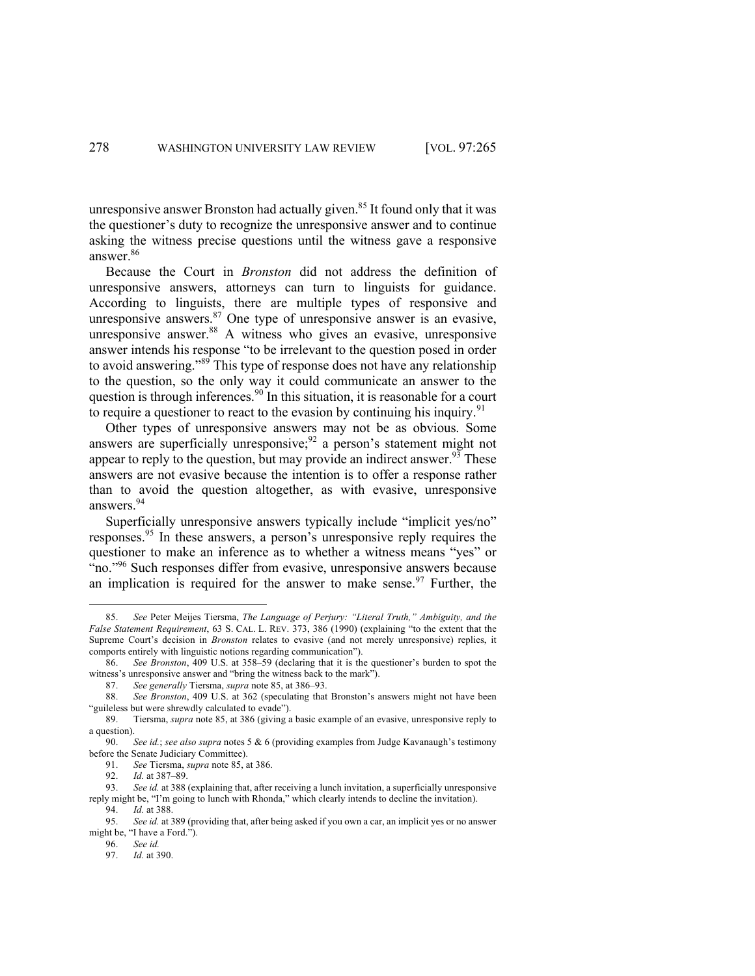unresponsive answer Bronston had actually given.<sup>85</sup> It found only that it was the questioner's duty to recognize the unresponsive answer and to continue asking the witness precise questions until the witness gave a responsive answer.86

Because the Court in *Bronston* did not address the definition of unresponsive answers, attorneys can turn to linguists for guidance. According to linguists, there are multiple types of responsive and unresponsive answers.<sup>87</sup> One type of unresponsive answer is an evasive, unresponsive answer.<sup>88</sup> A witness who gives an evasive, unresponsive intervalses and evaluated answer.<sup>88</sup> A witness who gives an evasive, unresponsive answer intends his response "to be irrelevant to the question posed in order to avoid answering."89 This type of response does not have any relationship to the question, so the only way it could communicate an answer to the question is through inferences.<sup>90</sup> In this situation, it is reasonable for a court to require a questioner to react to the evasion by continuing his inquiry.<sup>91</sup>

Other types of unresponsive answers may not be as obvious. Some answers are superficially unresponsive;<sup>92</sup> a person's statement might not appear to reply to the question, but may provide an indirect answer.<sup>93</sup> These answers are not evasive because the intention is to offer a response rather than to avoid the question altogether, as with evasive, unresponsive answers. 94

Superficially unresponsive answers typically include "implicit yes/no" responses.<sup>95</sup> In these answers, a person's unresponsive reply requires the questioner to make an inference as to whether a witness means "yes" or "no."<sup>96</sup> Such responses differ from evasive, unresponsive answers because an implication is required for the answer to make sense.<sup>97</sup> Further, the

<sup>85.</sup> *See* Peter Meijes Tiersma, *The Language of Perjury: "Literal Truth," Ambiguity, and the False Statement Requirement*, 63 S. CAL. L. REV. 373, 386 (1990) (explaining "to the extent that the Supreme Court's decision in *Bronston* relates to evasive (and not merely unresponsive) replies, it comports entirely with linguistic notions regarding communication").

<sup>86.</sup> *See Bronston*, 409 U.S. at 358–59 (declaring that it is the questioner's burden to spot the witness's unresponsive answer and "bring the witness back to the mark").

<sup>87.</sup> *See generally* Tiersma, *supra* note 85, at 386–93.

<sup>88.</sup> *See Bronston*, 409 U.S. at 362 (speculating that Bronston's answers might not have been "guileless but were shrewdly calculated to evade").

<sup>89.</sup> Tiersma, *supra* note 85, at 386 (giving a basic example of an evasive, unresponsive reply to a question).

<sup>90.</sup> *See id.*; *see also supra* notes 5 & 6 (providing examples from Judge Kavanaugh's testimony before the Senate Judiciary Committee).

<sup>91.</sup> *See* Tiersma, *supra* note 85, at 386.

<sup>92.</sup> *Id.* at 387–89.

<sup>93.</sup> *See id.* at 388 (explaining that, after receiving a lunch invitation, a superficially unresponsive reply might be, "I'm going to lunch with Rhonda," which clearly intends to decline the invitation).

<sup>94.</sup> *Id.* at 388.

<sup>95.</sup> *See id.* at 389 (providing that, after being asked if you own a car, an implicit yes or no answer might be, "I have a Ford.").

<sup>96.</sup> *See id.*

<sup>97.</sup> *Id.* at 390.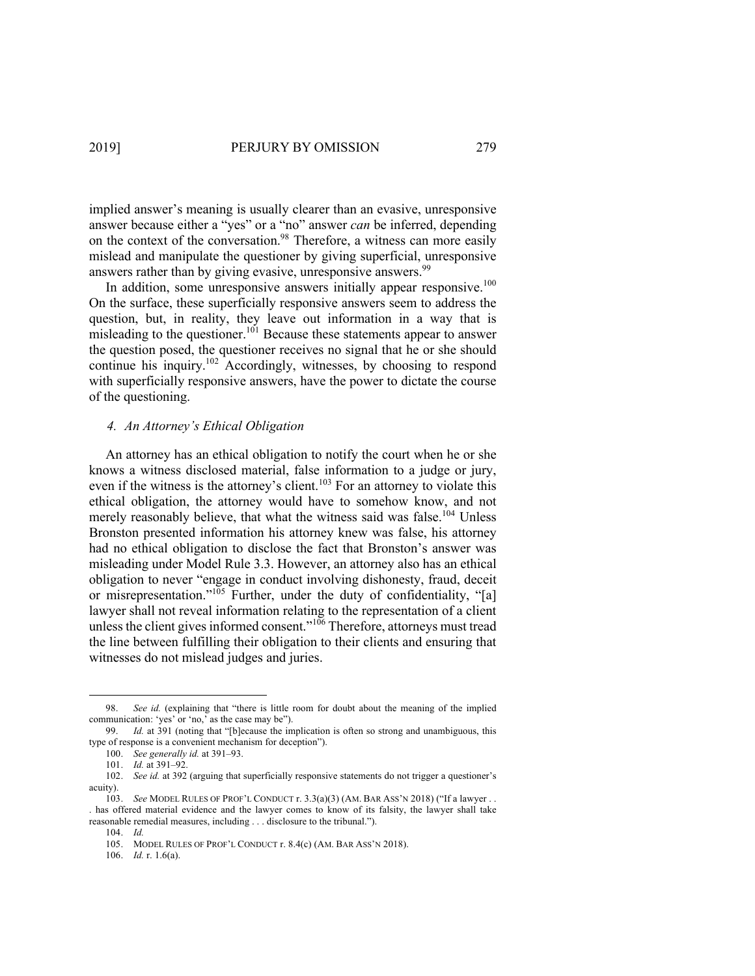implied answer's meaning is usually clearer than an evasive, unresponsive answer because either a "yes" or a "no" answer *can* be inferred, depending on the context of the conversation.<sup>98</sup> Therefore, a witness can more easily mislead and manipulate the questioner by giving superficial, unresponsive answers rather than by giving evasive, unresponsive answers.<sup>99</sup>

In addition, some unresponsive answers initially appear responsive.<sup>100</sup> On the surface, these superficially responsive answers seem to address the question, but, in reality, they leave out information in a way that is misleading to the questioner.<sup>101</sup> Because these statements appear to answer the question posed, the questioner receives no signal that he or she should continue his inquiry.<sup>102</sup> Accordingly, witnesses, by choosing to respond with superficially responsive answers, have the power to dictate the course of the questioning.

### *4. An Attorney's Ethical Obligation*

An attorney has an ethical obligation to notify the court when he or she knows a witness disclosed material, false information to a judge or jury, even if the witness is the attorney's client.<sup>103</sup> For an attorney to violate this ethical obligation, the attorney would have to somehow know, and not merely reasonably believe, that what the witness said was false.<sup>104</sup> Unless Bronston presented information his attorney knew was false, his attorney had no ethical obligation to disclose the fact that Bronston's answer was misleading under Model Rule 3.3. However, an attorney also has an ethical obligation to never "engage in conduct involving dishonesty, fraud, deceit or misrepresentation."<sup>105</sup> Further, under the duty of confidentiality, "[a] lawyer shall not reveal information relating to the representation of a client unless the client gives informed consent." $106$  Therefore, attorneys must tread the line between fulfilling their obligation to their clients and ensuring that witnesses do not mislead judges and juries.

<sup>98.</sup> *See id.* (explaining that "there is little room for doubt about the meaning of the implied communication: 'yes' or 'no,' as the case may be").

<sup>99.</sup> *Id.* at 391 (noting that "[b]ecause the implication is often so strong and unambiguous, this type of response is a convenient mechanism for deception").

<sup>100.</sup> *See generally id.* at 391-93.

<sup>101.</sup> *Id.* at 391-92.

<sup>102.</sup> *See id.* at 392 (arguing that superficially responsive statements do not trigger a questioner's acuity).

<sup>103.</sup> *See* MODEL RULES OF PROF'L CONDUCT r. 3.3(a)(3) (AM. BAR ASS'N 2018) ("If a lawyer . . . has offered material evidence and the lawyer comes to know of its falsity, the lawyer shall take reasonable remedial measures, including . . . disclosure to the tribunal.").

<sup>104.</sup> *Id.* 

<sup>105.</sup> MODEL RULES OF PROF'L CONDUCT r. 8.4(c) (AM. BAR ASS'N 2018).

<sup>106.</sup> *Id.* r. 1.6(a).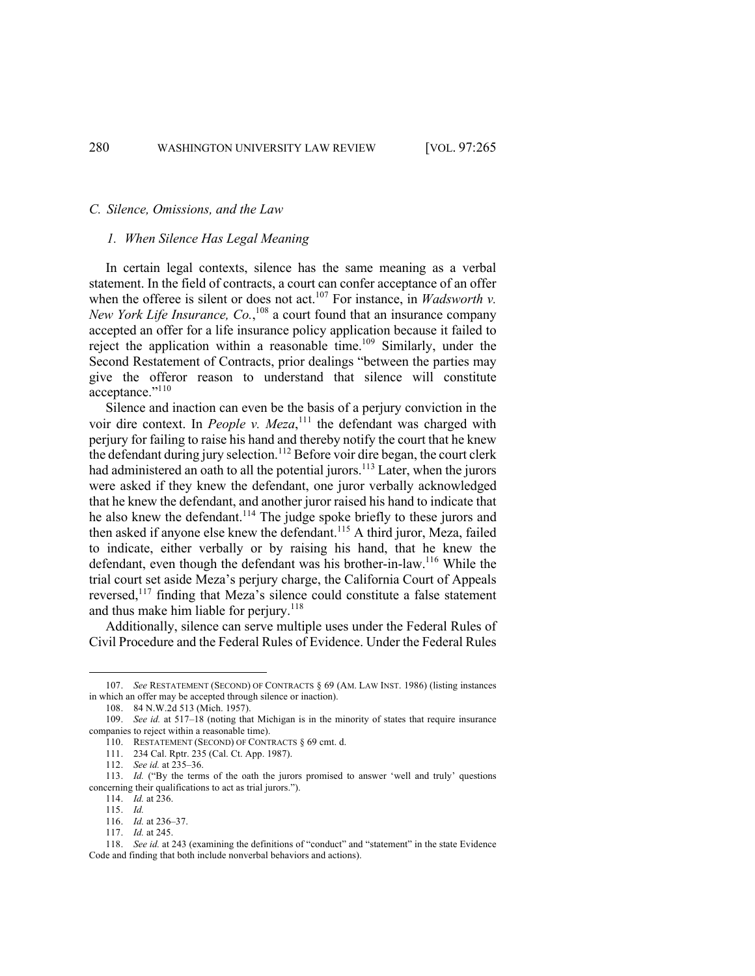#### *C. Silence, Omissions, and the Law*

### *1. When Silence Has Legal Meaning*

In certain legal contexts, silence has the same meaning as a verbal statement. In the field of contracts, a court can confer acceptance of an offer when the offeree is silent or does not act.<sup>107</sup> For instance, in *Wadsworth v*. New York Life Insurance, Co.,<sup>108</sup> a court found that an insurance company accepted an offer for a life insurance policy application because it failed to reject the application within a reasonable time.<sup>109</sup> Similarly, under the Second Restatement of Contracts, prior dealings "between the parties may give the offeror reason to understand that silence will constitute acceptance."<sup>110</sup>

Silence and inaction can even be the basis of a perjury conviction in the voir dire context. In *People v. Meza*,<sup>111</sup> the defendant was charged with perjury for failing to raise his hand and thereby notify the court that he knew the defendant during jury selection.<sup>112</sup> Before voir dire began, the court clerk had administered an oath to all the potential jurors.<sup>113</sup> Later, when the jurors were asked if they knew the defendant, one juror verbally acknowledged that he knew the defendant, and another juror raised his hand to indicate that he also knew the defendant.<sup>114</sup> The judge spoke briefly to these jurors and then asked if anyone else knew the defendant.<sup>115</sup> A third juror, Meza, failed to indicate, either verbally or by raising his hand, that he knew the defendant, even though the defendant was his brother-in-law.116 While the trial court set aside Meza's perjury charge, the California Court of Appeals reversed,<sup>117</sup> finding that Meza's silence could constitute a false statement and thus make him liable for perjury.<sup>118</sup>

Additionally, silence can serve multiple uses under the Federal Rules of Civil Procedure and the Federal Rules of Evidence. Under the Federal Rules

<sup>107.</sup> *See* RESTATEMENT (SECOND) OF CONTRACTS § 69 (AM. LAW INST. 1986) (listing instances in which an offer may be accepted through silence or inaction).

<sup>108.</sup> 84 N.W.2d 513 (Mich. 1957).

<sup>109.</sup> *See id.* at 517–18 (noting that Michigan is in the minority of states that require insurance companies to reject within a reasonable time).

<sup>110.</sup> RESTATEMENT (SECOND) OF CONTRACTS § 69 cmt. d.

<sup>111.</sup> 234 Cal. Rptr. 235 (Cal. Ct. App. 1987).

<sup>112.</sup> *See id.* at 235–36.

<sup>113.</sup> *Id.* ("By the terms of the oath the jurors promised to answer 'well and truly' questions concerning their qualifications to act as trial jurors.").

<sup>114.</sup> *Id.* at 236.

<sup>115.</sup> *Id.* 

<sup>116.</sup> *Id.* at 236–37.

<sup>117.</sup> *Id.* at 245.

<sup>118.</sup> *See id.* at 243 (examining the definitions of "conduct" and "statement" in the state Evidence Code and finding that both include nonverbal behaviors and actions).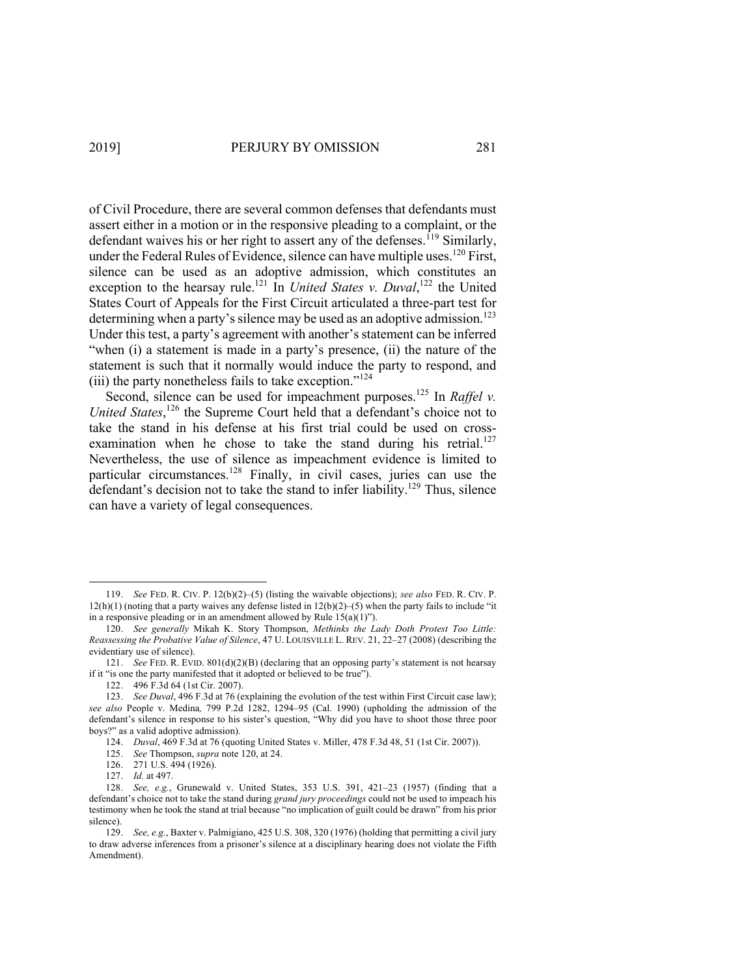of Civil Procedure, there are several common defenses that defendants must assert either in a motion or in the responsive pleading to a complaint, or the defendant waives his or her right to assert any of the defenses.<sup>119</sup> Similarly, under the Federal Rules of Evidence, silence can have multiple uses.<sup>120</sup> First, silence can be used as an adoptive admission, which constitutes an exception to the hearsay rule.<sup>121</sup> In *United States v. Duval*,<sup>122</sup> the United States Court of Appeals for the First Circuit articulated a three-part test for determining when a party's silence may be used as an adoptive admission.<sup>123</sup> Under this test, a party's agreement with another's statement can be inferred "when (i) a statement is made in a party's presence, (ii) the nature of the statement is such that it normally would induce the party to respond, and (iii) the party nonetheless fails to take exception."<sup>124</sup>

Second, silence can be used for impeachment purposes.<sup>125</sup> In *Raffel v.* United States,<sup>126</sup> the Supreme Court held that a defendant's choice not to take the stand in his defense at his first trial could be used on crossexamination when he chose to take the stand during his retrial.<sup>127</sup> Nevertheless, the use of silence as impeachment evidence is limited to particular circumstances.<sup>128</sup> Finally, in civil cases, juries can use the defendant's decision not to take the stand to infer liability.<sup>129</sup> Thus, silence can have a variety of legal consequences.

<sup>119.</sup> *See* FED. R. CIV. P. 12(b)(2)–(5) (listing the waivable objections); *see also* FED. R. CIV. P.  $12(h)(1)$  (noting that a party waives any defense listed in  $12(b)(2)$ –(5) when the party fails to include "it" in a responsive pleading or in an amendment allowed by Rule  $15(a)(1)$ ").

<sup>120.</sup> *See generally* Mikah K. Story Thompson, *Methinks the Lady Doth Protest Too Little: Reassessing the Probative Value of Silence*, 47 U. LOUISVILLE L. REV. 21, 22‒27 (2008) (describing the evidentiary use of silence).

<sup>121.</sup> *See* FED. R. EVID. 801(d)(2)(B) (declaring that an opposing party's statement is not hearsay if it "is one the party manifested that it adopted or believed to be true").

<sup>122.</sup> 496 F.3d 64 (1st Cir. 2007).

<sup>123.</sup> *See Duval*, 496 F.3d at 76 (explaining the evolution of the test within First Circuit case law); *see also* People v. Medina*,* 799 P.2d 1282, 1294–95 (Cal. 1990) (upholding the admission of the defendant's silence in response to his sister's question, "Why did you have to shoot those three poor boys?" as a valid adoptive admission).

<sup>124.</sup> *Duval*, 469 F.3d at 76 (quoting United States v. Miller, 478 F.3d 48, 51 (1st Cir. 2007)).

<sup>125.</sup> *See* Thompson, *supra* note 120, at 24.

<sup>126.</sup> 271 U.S. 494 (1926).

<sup>127.</sup> *Id.* at 497.

<sup>128.</sup> *See, e.g.*, Grunewald v. United States, 353 U.S. 391, 421-23 (1957) (finding that a defendant's choice not to take the stand during *grand jury proceedings* could not be used to impeach his testimony when he took the stand at trial because "no implication of guilt could be drawn" from his prior silence).

<sup>129.</sup> *See, e.g.*, Baxter v. Palmigiano, 425 U.S. 308, 320 (1976) (holding that permitting a civil jury to draw adverse inferences from a prisoner's silence at a disciplinary hearing does not violate the Fifth Amendment).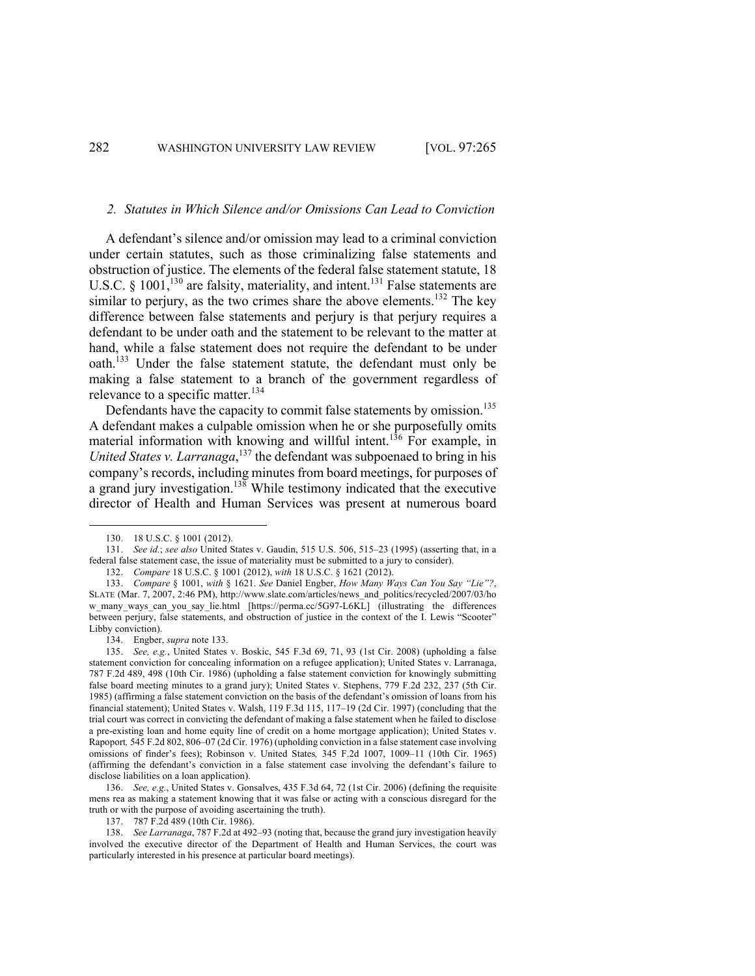#### *2. Statutes in Which Silence and/or Omissions Can Lead to Conviction*

A defendant's silence and/or omission may lead to a criminal conviction under certain statutes, such as those criminalizing false statements and obstruction of justice. The elements of the federal false statement statute, 18 U.S.C. §  $1001$ ,<sup>130</sup> are falsity, materiality, and intent.<sup>131</sup> False statements are similar to perjury, as the two crimes share the above elements.<sup>132</sup> The key difference between false statements and perjury is that perjury requires a defendant to be under oath and the statement to be relevant to the matter at hand, while a false statement does not require the defendant to be under oath.<sup>133</sup> Under the false statement statute, the defendant must only be making a false statement to a branch of the government regardless of relevance to a specific matter.<sup>134</sup>

Defendants have the capacity to commit false statements by omission.<sup>135</sup> A defendant makes a culpable omission when he or she purposefully omits material information with knowing and willful intent.<sup>136</sup> For example, in *United States v. Larranaga*, <sup>137</sup> the defendant was subpoenaed to bring in his company's records, including minutes from board meetings, for purposes of a grand jury investigation.138 While testimony indicated that the executive director of Health and Human Services was present at numerous board

<sup>130.</sup> 18 U.S.C. § 1001 (2012).

<sup>131.</sup> *See id.*; *see also* United States v. Gaudin, 515 U.S. 506, 515-23 (1995) (asserting that, in a federal false statement case, the issue of materiality must be submitted to a jury to consider).

<sup>132.</sup> *Compare* 18 U.S.C. § 1001 (2012), *with* 18 U.S.C. § 1621 (2012).

<sup>133.</sup> *Compare* § 1001, *with* § 1621. *See* Daniel Engber, *How Many Ways Can You Say "Lie"?*, SLATE (Mar. 7, 2007, 2:46 PM), http://www.slate.com/articles/news\_and\_politics/recycled/2007/03/ho w\_many\_ways\_can\_you\_say\_lie.html [https://perma.cc/5G97-L6KL] (illustrating the differences between perjury, false statements, and obstruction of justice in the context of the I. Lewis "Scooter" Libby conviction).

<sup>134.</sup> Engber, *supra* note 133.

<sup>135.</sup> *See, e.g.*, United States v. Boskic, 545 F.3d 69, 71, 93 (1st Cir. 2008) (upholding a false statement conviction for concealing information on a refugee application); United States v. Larranaga, 787 F.2d 489, 498 (10th Cir. 1986) (upholding a false statement conviction for knowingly submitting false board meeting minutes to a grand jury); United States v. Stephens, 779 F.2d 232, 237 (5th Cir. 1985) (affirming a false statement conviction on the basis of the defendant's omission of loans from his financial statement); United States v. Walsh, 119 F.3d 115, 117–19 (2d Cir. 1997) (concluding that the trial court was correct in convicting the defendant of making a false statement when he failed to disclose a pre-existing loan and home equity line of credit on a home mortgage application); United States v. Rapoport*,* 545 F.2d 802, 806–07 (2d Cir. 1976) (upholding conviction in a false statement case involving omissions of finder's fees); Robinson v. United States*,* 345 F.2d 1007, 1009–11 (10th Cir. 1965) (affirming the defendant's conviction in a false statement case involving the defendant's failure to disclose liabilities on a loan application).

<sup>136.</sup> *See, e.g.*, United States v. Gonsalves, 435 F.3d 64, 72 (1st Cir. 2006) (defining the requisite mens rea as making a statement knowing that it was false or acting with a conscious disregard for the truth or with the purpose of avoiding ascertaining the truth).

<sup>137.</sup> 787 F.2d 489 (10th Cir. 1986).

<sup>138.</sup> *See Larranaga*, 787 F.2d at 492–93 (noting that, because the grand jury investigation heavily involved the executive director of the Department of Health and Human Services, the court was particularly interested in his presence at particular board meetings).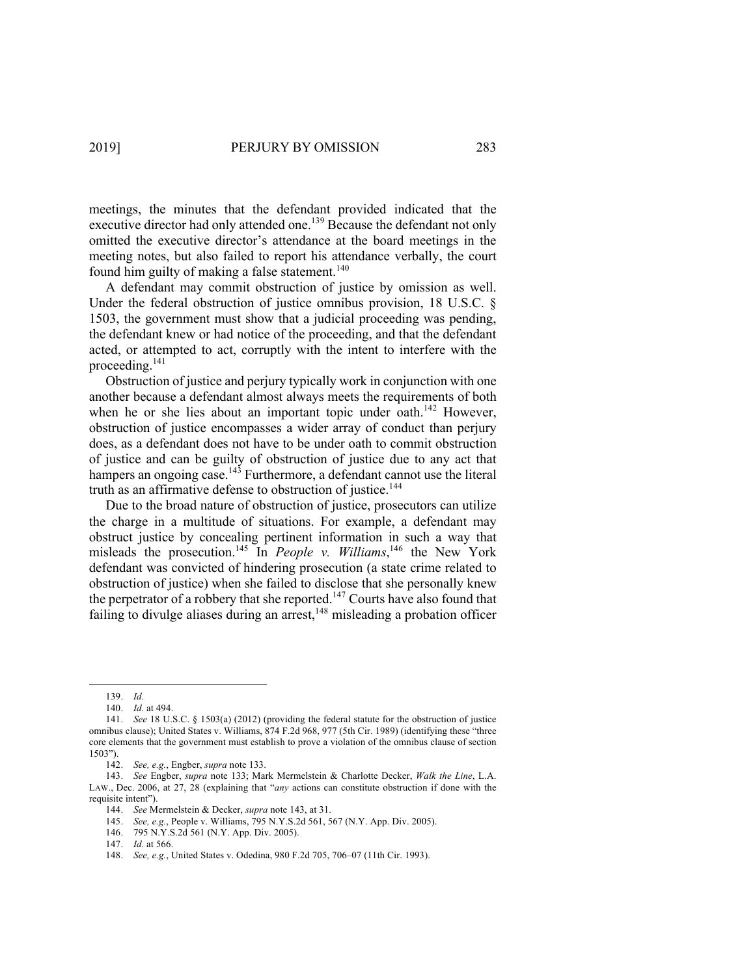meetings, the minutes that the defendant provided indicated that the executive director had only attended one.<sup>139</sup> Because the defendant not only omitted the executive director's attendance at the board meetings in the meeting notes, but also failed to report his attendance verbally, the court found him guilty of making a false statement.<sup>140</sup>

A defendant may commit obstruction of justice by omission as well. Under the federal obstruction of justice omnibus provision, 18 U.S.C. § 1503, the government must show that a judicial proceeding was pending, the defendant knew or had notice of the proceeding, and that the defendant acted, or attempted to act, corruptly with the intent to interfere with the proceeding.141

Obstruction of justice and perjury typically work in conjunction with one another because a defendant almost always meets the requirements of both when he or she lies about an important topic under oath.<sup>142</sup> However, obstruction of justice encompasses a wider array of conduct than perjury does, as a defendant does not have to be under oath to commit obstruction of justice and can be guilty of obstruction of justice due to any act that hampers an ongoing case.<sup>143</sup> Furthermore, a defendant cannot use the literal truth as an affirmative defense to obstruction of justice.<sup>144</sup>

Due to the broad nature of obstruction of justice, prosecutors can utilize the charge in a multitude of situations. For example, a defendant may obstruct justice by concealing pertinent information in such a way that misleads the prosecution.<sup>145</sup> In *People v. Williams*,<sup>146</sup> the New York defendant was convicted of hindering prosecution (a state crime related to obstruction of justice) when she failed to disclose that she personally knew the perpetrator of a robbery that she reported.<sup>147</sup> Courts have also found that failing to divulge aliases during an arrest,  $148$  misleading a probation officer

<sup>139.</sup> *Id.*

<sup>140.</sup> *Id.* at 494.

<sup>141.</sup> *See* 18 U.S.C. § 1503(a) (2012) (providing the federal statute for the obstruction of justice omnibus clause); United States v. Williams, 874 F.2d 968, 977 (5th Cir. 1989) (identifying these "three core elements that the government must establish to prove a violation of the omnibus clause of section 1503").

<sup>142.</sup> *See, e.g.*, Engber, *supra* note 133.

<sup>143.</sup> *See* Engber, *supra* note 133; Mark Mermelstein & Charlotte Decker, *Walk the Line*, L.A. LAW., Dec. 2006, at 27, 28 (explaining that "*any* actions can constitute obstruction if done with the requisite intent").

<sup>144.</sup> *See* Mermelstein & Decker, *supra* note 143, at 31.

<sup>145.</sup> *See, e.g.*, People v. Williams, 795 N.Y.S.2d 561, 567 (N.Y. App. Div. 2005).

<sup>146.</sup> 795 N.Y.S.2d 561 (N.Y. App. Div. 2005).

<sup>147.</sup> *Id.* at 566.

<sup>148.</sup> *See, e.g.*, United States v. Odedina, 980 F.2d 705, 706–07 (11th Cir. 1993).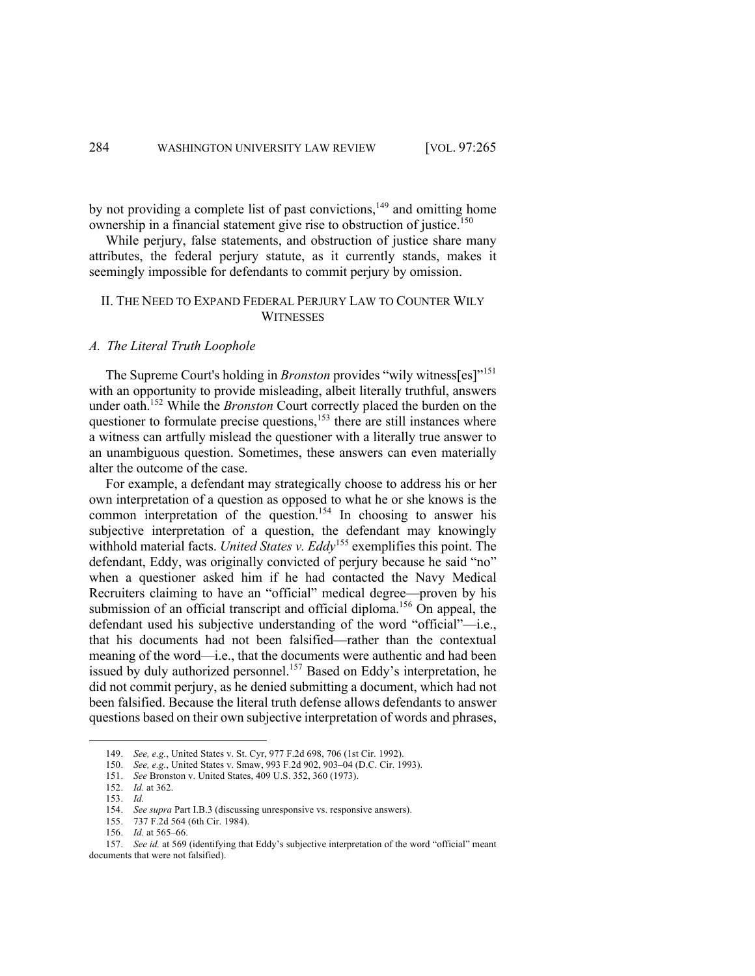by not providing a complete list of past convictions,<sup>149</sup> and omitting home ownership in a financial statement give rise to obstruction of justice.<sup>150</sup>

While perjury, false statements, and obstruction of justice share many attributes, the federal perjury statute, as it currently stands, makes it seemingly impossible for defendants to commit perjury by omission.

# II. THE NEED TO EXPAND FEDERAL PERJURY LAW TO COUNTER WILY **WITNESSES**

# *A. The Literal Truth Loophole*

The Supreme Court's holding in *Bronston* provides "wily witness[es]"151 with an opportunity to provide misleading, albeit literally truthful, answers under oath.152 While the *Bronston* Court correctly placed the burden on the questioner to formulate precise questions, $153$  there are still instances where a witness can artfully mislead the questioner with a literally true answer to an unambiguous question. Sometimes, these answers can even materially alter the outcome of the case.

For example, a defendant may strategically choose to address his or her own interpretation of a question as opposed to what he or she knows is the common interpretation of the question.<sup>154</sup> In choosing to answer his subjective interpretation of a question, the defendant may knowingly withhold material facts. *United States v. Eddy*<sup>155</sup> exemplifies this point. The defendant, Eddy, was originally convicted of perjury because he said "no" when a questioner asked him if he had contacted the Navy Medical Recruiters claiming to have an "official" medical degree—proven by his submission of an official transcript and official diploma.<sup>156</sup> On appeal, the defendant used his subjective understanding of the word "official"—i.e., that his documents had not been falsified—rather than the contextual meaning of the word—i.e., that the documents were authentic and had been issued by duly authorized personnel.<sup>157</sup> Based on Eddy's interpretation, he did not commit perjury, as he denied submitting a document, which had not been falsified. Because the literal truth defense allows defendants to answer questions based on their own subjective interpretation of words and phrases,

- 150. *See, e.g.*, United States v. Smaw, 993 F.2d 902, 903–04 (D.C. Cir. 1993).
- 151. *See* Bronston v. United States, 409 U.S. 352, 360 (1973).

<sup>149.</sup> *See, e.g.*, United States v. St. Cyr, 977 F.2d 698, 706 (1st Cir. 1992).

<sup>152.</sup> *Id.* at 362.

<sup>153.</sup> *Id.* 

<sup>154.</sup> *See supra* Part I.B.3 (discussing unresponsive vs. responsive answers).

<sup>155.</sup> 737 F.2d 564 (6th Cir. 1984).

<sup>156.</sup> *Id.* at 565–66.

<sup>157.</sup> *See id.* at 569 (identifying that Eddy's subjective interpretation of the word "official" meant documents that were not falsified).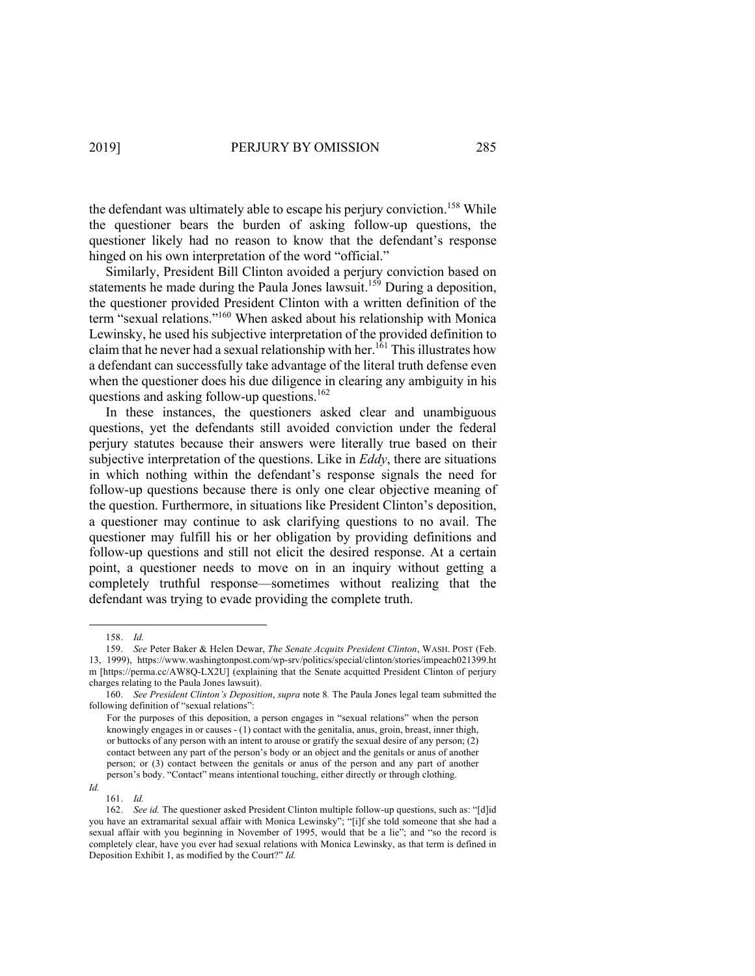the defendant was ultimately able to escape his perjury conviction.<sup>158</sup> While the questioner bears the burden of asking follow-up questions, the questioner likely had no reason to know that the defendant's response hinged on his own interpretation of the word "official."

Similarly, President Bill Clinton avoided a perjury conviction based on statements he made during the Paula Jones lawsuit.<sup>159</sup> During a deposition, the questioner provided President Clinton with a written definition of the term "sexual relations."160 When asked about his relationship with Monica Lewinsky, he used his subjective interpretation of the provided definition to claim that he never had a sexual relationship with her.<sup>161</sup> This illustrates how a defendant can successfully take advantage of the literal truth defense even when the questioner does his due diligence in clearing any ambiguity in his questions and asking follow-up questions.<sup>162</sup>

In these instances, the questioners asked clear and unambiguous questions, yet the defendants still avoided conviction under the federal perjury statutes because their answers were literally true based on their subjective interpretation of the questions. Like in *Eddy*, there are situations in which nothing within the defendant's response signals the need for follow-up questions because there is only one clear objective meaning of the question. Furthermore, in situations like President Clinton's deposition, a questioner may continue to ask clarifying questions to no avail. The questioner may fulfill his or her obligation by providing definitions and follow-up questions and still not elicit the desired response. At a certain point, a questioner needs to move on in an inquiry without getting a completely truthful response—sometimes without realizing that the defendant was trying to evade providing the complete truth.

*Id.*

<sup>158.</sup> *Id.* 

<sup>159.</sup> *See* Peter Baker & Helen Dewar, *The Senate Acquits President Clinton*, WASH. POST (Feb. 13, 1999), https://www.washingtonpost.com/wp-srv/politics/special/clinton/stories/impeach021399.ht m [https://perma.cc/AW8Q-LX2U] (explaining that the Senate acquitted President Clinton of perjury charges relating to the Paula Jones lawsuit).

<sup>160.</sup> *See President Clinton's Deposition*, *supra* note 8*.* The Paula Jones legal team submitted the following definition of "sexual relations":

For the purposes of this deposition, a person engages in "sexual relations" when the person knowingly engages in or causes - (1) contact with the genitalia, anus, groin, breast, inner thigh, or buttocks of any person with an intent to arouse or gratify the sexual desire of any person; (2) contact between any part of the person's body or an object and the genitals or anus of another person; or (3) contact between the genitals or anus of the person and any part of another person's body. "Contact" means intentional touching, either directly or through clothing.

<sup>161.</sup> *Id.* 

<sup>162.</sup> *See id.* The questioner asked President Clinton multiple follow-up questions, such as: "[d]id you have an extramarital sexual affair with Monica Lewinsky"; "[i]f she told someone that she had a sexual affair with you beginning in November of 1995, would that be a lie"; and "so the record is completely clear, have you ever had sexual relations with Monica Lewinsky, as that term is defined in Deposition Exhibit 1, as modified by the Court?" *Id.*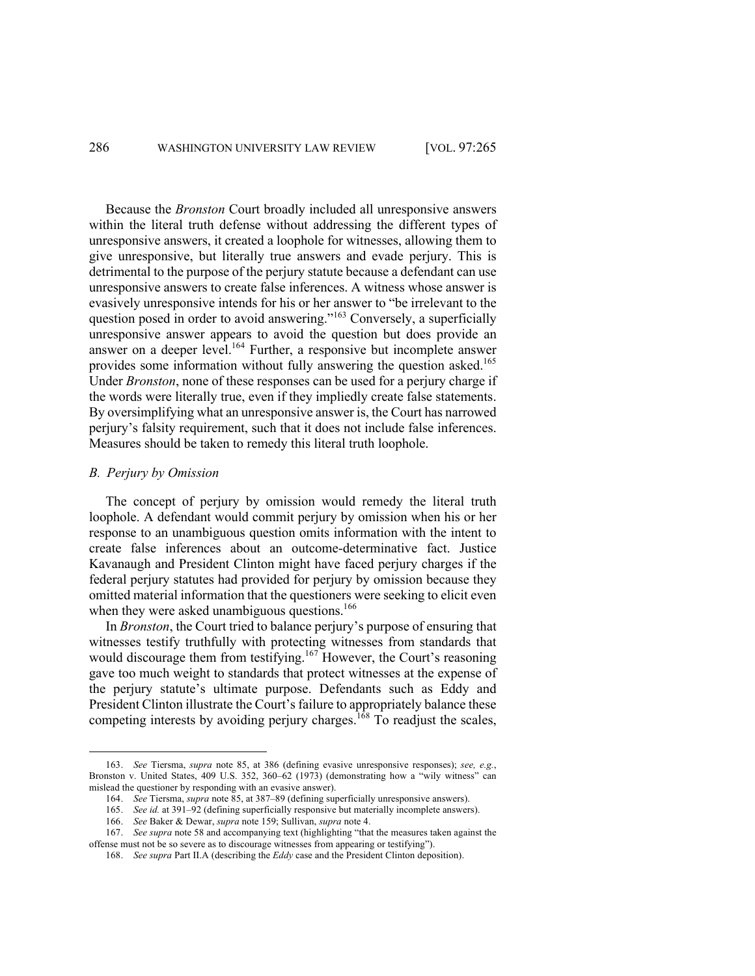Because the *Bronston* Court broadly included all unresponsive answers within the literal truth defense without addressing the different types of unresponsive answers, it created a loophole for witnesses, allowing them to give unresponsive, but literally true answers and evade perjury. This is detrimental to the purpose of the perjury statute because a defendant can use unresponsive answers to create false inferences. A witness whose answer is evasively unresponsive intends for his or her answer to "be irrelevant to the question posed in order to avoid answering."<sup>163</sup> Conversely, a superficially unresponsive answer appears to avoid the question but does provide an answer on a deeper level.<sup>164</sup> Further, a responsive but incomplete answer provides some information without fully answering the question asked.<sup>165</sup> Under *Bronston*, none of these responses can be used for a perjury charge if the words were literally true, even if they impliedly create false statements. By oversimplifying what an unresponsive answer is, the Court has narrowed perjury's falsity requirement, such that it does not include false inferences. Measures should be taken to remedy this literal truth loophole.

#### *B. Perjury by Omission*

The concept of perjury by omission would remedy the literal truth loophole. A defendant would commit perjury by omission when his or her response to an unambiguous question omits information with the intent to create false inferences about an outcome-determinative fact. Justice Kavanaugh and President Clinton might have faced perjury charges if the federal perjury statutes had provided for perjury by omission because they omitted material information that the questioners were seeking to elicit even when they were asked unambiguous questions.<sup>166</sup>

In *Bronston*, the Court tried to balance perjury's purpose of ensuring that witnesses testify truthfully with protecting witnesses from standards that would discourage them from testifying.<sup>167</sup> However, the Court's reasoning gave too much weight to standards that protect witnesses at the expense of the perjury statute's ultimate purpose. Defendants such as Eddy and President Clinton illustrate the Court's failure to appropriately balance these competing interests by avoiding perjury charges.  $\frac{168}{168}$  To readjust the scales,

<sup>163.</sup> *See* Tiersma, *supra* note 85, at 386 (defining evasive unresponsive responses); *see, e.g.*, Bronston v. United States, 409 U.S. 352, 360–62 (1973) (demonstrating how a "wily witness" can mislead the questioner by responding with an evasive answer).

<sup>164.</sup> *See* Tiersma, *supra* note 85, at 387–89 (defining superficially unresponsive answers).

<sup>165.</sup> *See id.* at 391–92 (defining superficially responsive but materially incomplete answers).

<sup>166.</sup> *See* Baker & Dewar, *supra* note 159; Sullivan, *supra* note 4.

<sup>167.</sup> *See supra* note 58 and accompanying text (highlighting "that the measures taken against the offense must not be so severe as to discourage witnesses from appearing or testifying").

<sup>168.</sup> *See supra* Part II.A (describing the *Eddy* case and the President Clinton deposition).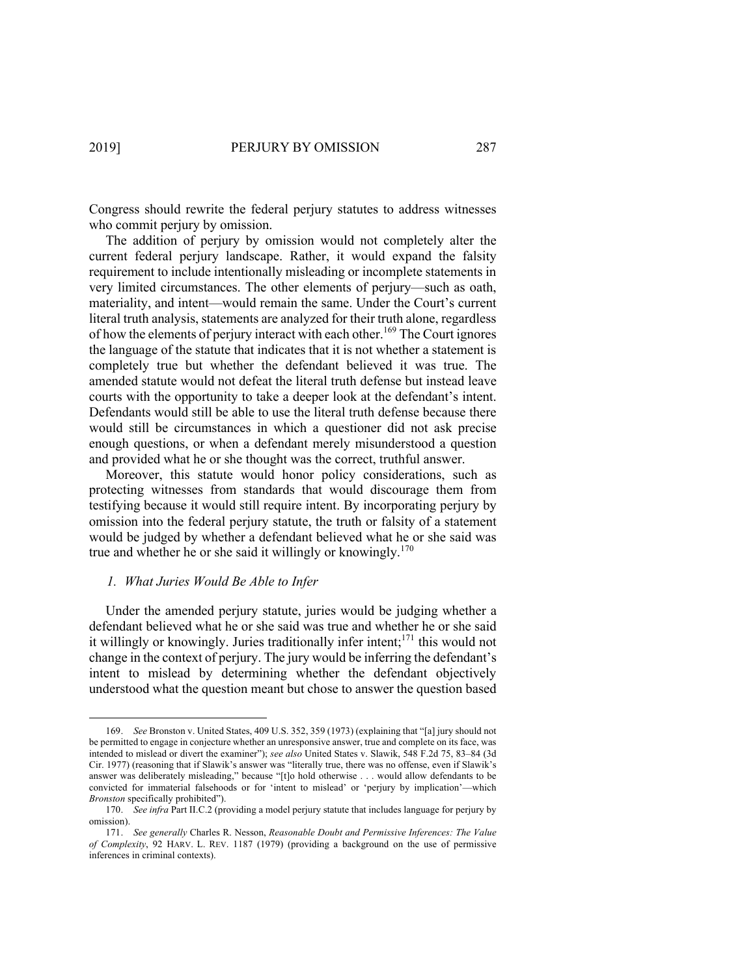Congress should rewrite the federal perjury statutes to address witnesses who commit perjury by omission.

The addition of perjury by omission would not completely alter the current federal perjury landscape. Rather, it would expand the falsity requirement to include intentionally misleading or incomplete statements in very limited circumstances. The other elements of perjury—such as oath, materiality, and intent—would remain the same. Under the Court's current literal truth analysis, statements are analyzed for their truth alone, regardless of how the elements of perjury interact with each other.<sup>169</sup> The Court ignores the language of the statute that indicates that it is not whether a statement is completely true but whether the defendant believed it was true. The amended statute would not defeat the literal truth defense but instead leave courts with the opportunity to take a deeper look at the defendant's intent. Defendants would still be able to use the literal truth defense because there would still be circumstances in which a questioner did not ask precise enough questions, or when a defendant merely misunderstood a question and provided what he or she thought was the correct, truthful answer.

Moreover, this statute would honor policy considerations, such as protecting witnesses from standards that would discourage them from testifying because it would still require intent. By incorporating perjury by omission into the federal perjury statute, the truth or falsity of a statement would be judged by whether a defendant believed what he or she said was true and whether he or she said it willingly or knowingly.<sup>170</sup>

# *1. What Juries Would Be Able to Infer*

Under the amended perjury statute, juries would be judging whether a defendant believed what he or she said was true and whether he or she said it willingly or knowingly. Juries traditionally infer intent;<sup>171</sup> this would not change in the context of perjury. The jury would be inferring the defendant's intent to mislead by determining whether the defendant objectively understood what the question meant but chose to answer the question based

<sup>169.</sup> *See* Bronston v. United States, 409 U.S. 352, 359 (1973) (explaining that "[a] jury should not be permitted to engage in conjecture whether an unresponsive answer, true and complete on its face, was intended to mislead or divert the examiner"); *see also* United States v. Slawik, 548 F.2d 75, 83–84 (3d Cir. 1977) (reasoning that if Slawik's answer was "literally true, there was no offense, even if Slawik's answer was deliberately misleading," because "[t]o hold otherwise . . . would allow defendants to be convicted for immaterial falsehoods or for 'intent to mislead' or 'perjury by implication'—which *Bronston* specifically prohibited").

<sup>170.</sup> *See infra* Part II.C.2 (providing a model perjury statute that includes language for perjury by omission).

<sup>171.</sup> *See generally* Charles R. Nesson, *Reasonable Doubt and Permissive Inferences: The Value of Complexity*, 92 HARV. L. REV. 1187 (1979) (providing a background on the use of permissive inferences in criminal contexts).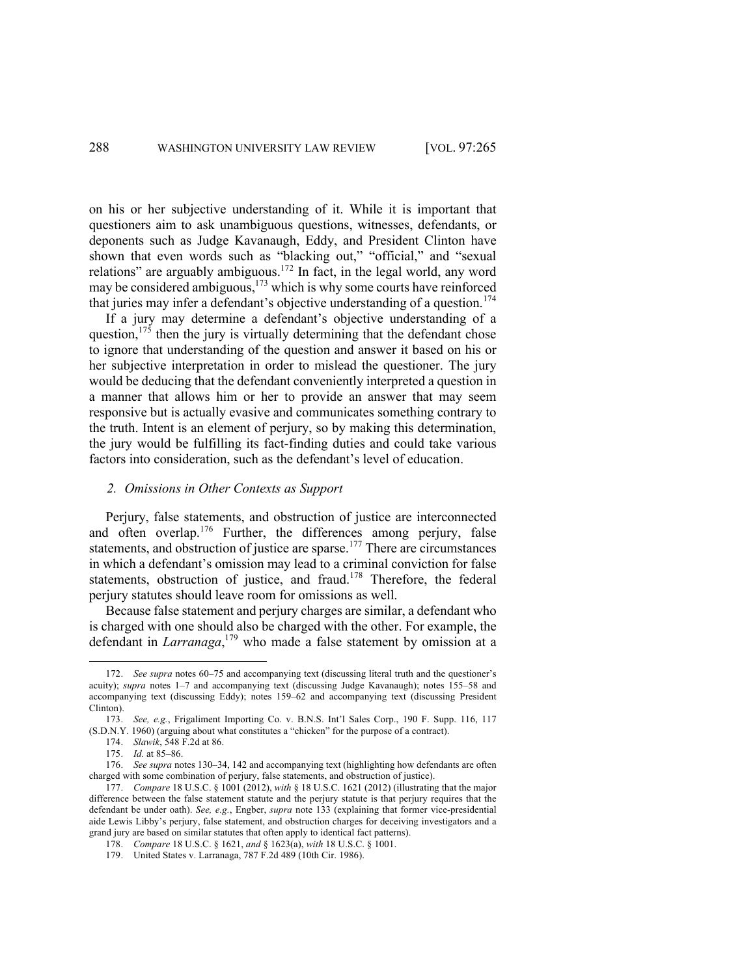on his or her subjective understanding of it. While it is important that questioners aim to ask unambiguous questions, witnesses, defendants, or deponents such as Judge Kavanaugh, Eddy, and President Clinton have shown that even words such as "blacking out," "official," and "sexual relations" are arguably ambiguous.<sup>172</sup> In fact, in the legal world, any word may be considered ambiguous, $173$  which is why some courts have reinforced that juries may infer a defendant's objective understanding of a question.<sup>174</sup>

If a jury may determine a defendant's objective understanding of a question, $1^{75}$  then the jury is virtually determining that the defendant chose to ignore that understanding of the question and answer it based on his or her subjective interpretation in order to mislead the questioner. The jury would be deducing that the defendant conveniently interpreted a question in a manner that allows him or her to provide an answer that may seem responsive but is actually evasive and communicates something contrary to the truth. Intent is an element of perjury, so by making this determination, the jury would be fulfilling its fact-finding duties and could take various factors into consideration, such as the defendant's level of education.

### *2. Omissions in Other Contexts as Support*

Perjury, false statements, and obstruction of justice are interconnected and often overlap.<sup>176</sup> Further, the differences among perjury, false statements, and obstruction of justice are sparse.<sup>177</sup> There are circumstances in which a defendant's omission may lead to a criminal conviction for false statements, obstruction of justice, and fraud.<sup>178</sup> Therefore, the federal perjury statutes should leave room for omissions as well.

Because false statement and perjury charges are similar, a defendant who is charged with one should also be charged with the other. For example, the defendant in *Larranaga*, <sup>179</sup> who made a false statement by omission at a

<sup>172.</sup> *See supra* notes 60–75 and accompanying text (discussing literal truth and the questioner's acuity); *supra* notes 1–7 and accompanying text (discussing Judge Kavanaugh); notes 155–58 and accompanying text (discussing Eddy); notes 159–62 and accompanying text (discussing President Clinton).

<sup>173.</sup> *See, e.g.*, Frigaliment Importing Co. v. B.N.S. Int'l Sales Corp., 190 F. Supp. 116, 117 (S.D.N.Y. 1960) (arguing about what constitutes a "chicken" for the purpose of a contract).

<sup>174.</sup> *Slawik*, 548 F.2d at 86.

<sup>175.</sup> *Id.* at 85–86.

<sup>176.</sup> *See supra* notes 130–34, 142 and accompanying text (highlighting how defendants are often charged with some combination of perjury, false statements, and obstruction of justice).

<sup>177.</sup> *Compare* 18 U.S.C. § 1001 (2012), *with* § 18 U.S.C. 1621 (2012) (illustrating that the major difference between the false statement statute and the perjury statute is that perjury requires that the defendant be under oath). *See, e.g.*, Engber, *supra* note 133 (explaining that former vice-presidential aide Lewis Libby's perjury, false statement, and obstruction charges for deceiving investigators and a grand jury are based on similar statutes that often apply to identical fact patterns).

<sup>178.</sup> *Compare* 18 U.S.C. § 1621, *and* § 1623(a), *with* 18 U.S.C. § 1001.

<sup>179.</sup> United States v. Larranaga, 787 F.2d 489 (10th Cir. 1986).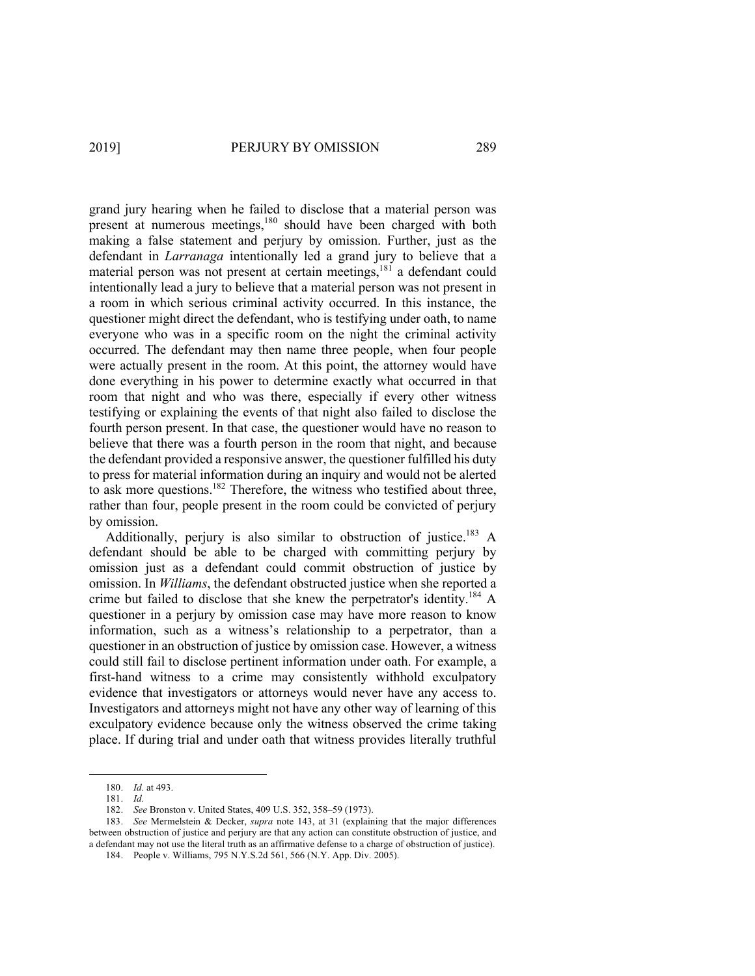grand jury hearing when he failed to disclose that a material person was present at numerous meetings,<sup>180</sup> should have been charged with both making a false statement and perjury by omission. Further, just as the defendant in *Larranaga* intentionally led a grand jury to believe that a material person was not present at certain meetings, <sup>181</sup> a defendant could intentionally lead a jury to believe that a material person was not present in a room in which serious criminal activity occurred. In this instance, the questioner might direct the defendant, who is testifying under oath, to name everyone who was in a specific room on the night the criminal activity occurred. The defendant may then name three people, when four people were actually present in the room. At this point, the attorney would have done everything in his power to determine exactly what occurred in that room that night and who was there, especially if every other witness testifying or explaining the events of that night also failed to disclose the fourth person present. In that case, the questioner would have no reason to believe that there was a fourth person in the room that night, and because the defendant provided a responsive answer, the questioner fulfilled his duty to press for material information during an inquiry and would not be alerted to ask more questions.<sup>182</sup> Therefore, the witness who testified about three, rather than four, people present in the room could be convicted of perjury by omission.

Additionally, perjury is also similar to obstruction of justice.<sup>183</sup> A defendant should be able to be charged with committing perjury by omission just as a defendant could commit obstruction of justice by omission. In *Williams*, the defendant obstructed justice when she reported a crime but failed to disclose that she knew the perpetrator's identity.<sup>184</sup> A questioner in a perjury by omission case may have more reason to know information, such as a witness's relationship to a perpetrator, than a questioner in an obstruction of justice by omission case. However, a witness could still fail to disclose pertinent information under oath. For example, a first-hand witness to a crime may consistently withhold exculpatory evidence that investigators or attorneys would never have any access to. Investigators and attorneys might not have any other way of learning of this exculpatory evidence because only the witness observed the crime taking place. If during trial and under oath that witness provides literally truthful

<sup>180.</sup> *Id.* at 493.

<sup>181.</sup> *Id.*

<sup>182.</sup> *See* Bronston v. United States, 409 U.S. 352, 358–59 (1973).

<sup>183.</sup> *See* Mermelstein & Decker, *supra* note 143, at 31 (explaining that the major differences between obstruction of justice and perjury are that any action can constitute obstruction of justice, and a defendant may not use the literal truth as an affirmative defense to a charge of obstruction of justice).

<sup>184.</sup> People v. Williams, 795 N.Y.S.2d 561, 566 (N.Y. App. Div. 2005).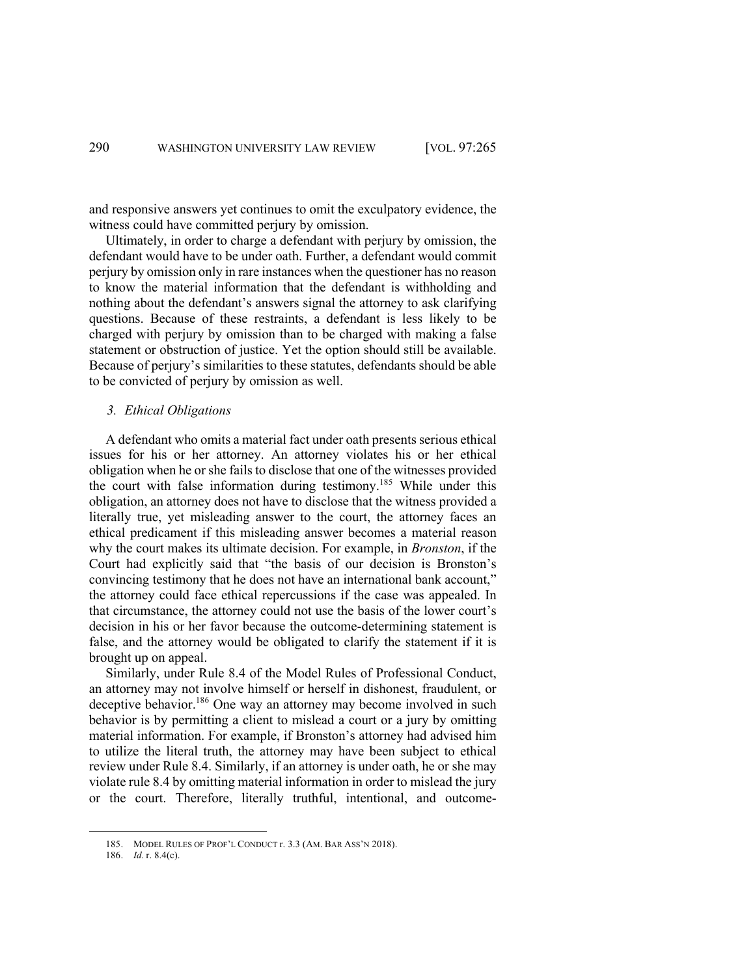and responsive answers yet continues to omit the exculpatory evidence, the witness could have committed perjury by omission.

Ultimately, in order to charge a defendant with perjury by omission, the defendant would have to be under oath. Further, a defendant would commit perjury by omission only in rare instances when the questioner has no reason to know the material information that the defendant is withholding and nothing about the defendant's answers signal the attorney to ask clarifying questions. Because of these restraints, a defendant is less likely to be charged with perjury by omission than to be charged with making a false statement or obstruction of justice. Yet the option should still be available. Because of perjury's similarities to these statutes, defendants should be able to be convicted of perjury by omission as well.

# *3. Ethical Obligations*

A defendant who omits a material fact under oath presents serious ethical issues for his or her attorney. An attorney violates his or her ethical obligation when he or she fails to disclose that one of the witnesses provided the court with false information during testimony.<sup>185</sup> While under this obligation, an attorney does not have to disclose that the witness provided a literally true, yet misleading answer to the court, the attorney faces an ethical predicament if this misleading answer becomes a material reason why the court makes its ultimate decision. For example, in *Bronston*, if the Court had explicitly said that "the basis of our decision is Bronston's convincing testimony that he does not have an international bank account," the attorney could face ethical repercussions if the case was appealed. In that circumstance, the attorney could not use the basis of the lower court's decision in his or her favor because the outcome-determining statement is false, and the attorney would be obligated to clarify the statement if it is brought up on appeal.

Similarly, under Rule 8.4 of the Model Rules of Professional Conduct, an attorney may not involve himself or herself in dishonest, fraudulent, or deceptive behavior.<sup>186</sup> One way an attorney may become involved in such behavior is by permitting a client to mislead a court or a jury by omitting material information. For example, if Bronston's attorney had advised him to utilize the literal truth, the attorney may have been subject to ethical review under Rule 8.4. Similarly, if an attorney is under oath, he or she may violate rule 8.4 by omitting material information in order to mislead the jury or the court. Therefore, literally truthful, intentional, and outcome-

<sup>185.</sup> MODEL RULES OF PROF'L CONDUCT r. 3.3 (AM. BAR ASS'N 2018).

<sup>186.</sup> *Id.* r. 8.4(c).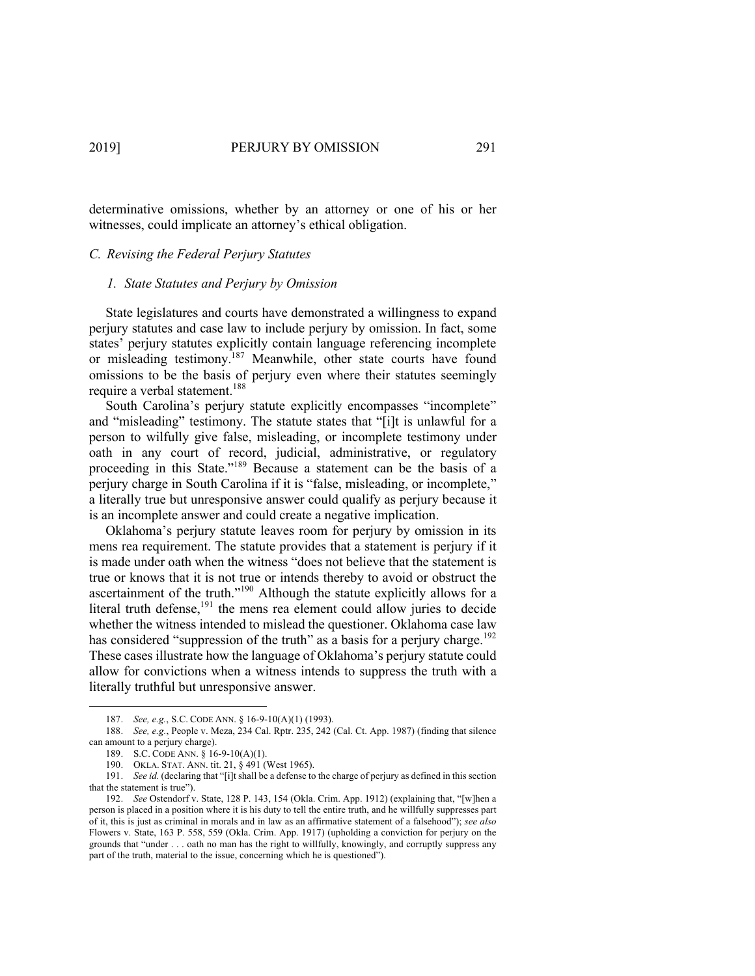determinative omissions, whether by an attorney or one of his or her witnesses, could implicate an attorney's ethical obligation.

#### *C. Revising the Federal Perjury Statutes*

#### *1. State Statutes and Perjury by Omission*

State legislatures and courts have demonstrated a willingness to expand perjury statutes and case law to include perjury by omission. In fact, some states' perjury statutes explicitly contain language referencing incomplete or misleading testimony.<sup>187</sup> Meanwhile, other state courts have found omissions to be the basis of perjury even where their statutes seemingly require a verbal statement.<sup>188</sup>

South Carolina's perjury statute explicitly encompasses "incomplete" and "misleading" testimony. The statute states that "[i]t is unlawful for a person to wilfully give false, misleading, or incomplete testimony under oath in any court of record, judicial, administrative, or regulatory proceeding in this State."189 Because a statement can be the basis of a perjury charge in South Carolina if it is "false, misleading, or incomplete," a literally true but unresponsive answer could qualify as perjury because it is an incomplete answer and could create a negative implication.

Oklahoma's perjury statute leaves room for perjury by omission in its mens rea requirement. The statute provides that a statement is perjury if it is made under oath when the witness "does not believe that the statement is true or knows that it is not true or intends thereby to avoid or obstruct the ascertainment of the truth."190 Although the statute explicitly allows for a literal truth defense,<sup>191</sup> the mens rea element could allow juries to decide whether the witness intended to mislead the questioner. Oklahoma case law has considered "suppression of the truth" as a basis for a perjury charge.<sup>192</sup> These cases illustrate how the language of Oklahoma's perjury statute could allow for convictions when a witness intends to suppress the truth with a literally truthful but unresponsive answer.

<sup>187.</sup> *See, e.g.*, S.C. CODE ANN. § 16-9-10(A)(1) (1993).

<sup>188.</sup> *See, e.g.*, People v. Meza, 234 Cal. Rptr. 235, 242 (Cal. Ct. App. 1987) (finding that silence can amount to a perjury charge).

<sup>189.</sup> S.C. CODE ANN. § 16-9-10(A)(1).

<sup>190.</sup> OKLA. STAT. ANN. tit. 21, § 491 (West 1965).

<sup>191.</sup> *See id.* (declaring that "[i]t shall be a defense to the charge of perjury as defined in this section that the statement is true").

<sup>192.</sup> *See* Ostendorf v. State, 128 P. 143, 154 (Okla. Crim. App. 1912) (explaining that, "[w]hen a person is placed in a position where it is his duty to tell the entire truth, and he willfully suppresses part of it, this is just as criminal in morals and in law as an affirmative statement of a falsehood"); *see also* Flowers v. State, 163 P. 558, 559 (Okla. Crim. App. 1917) (upholding a conviction for perjury on the grounds that "under . . . oath no man has the right to willfully, knowingly, and corruptly suppress any part of the truth, material to the issue, concerning which he is questioned").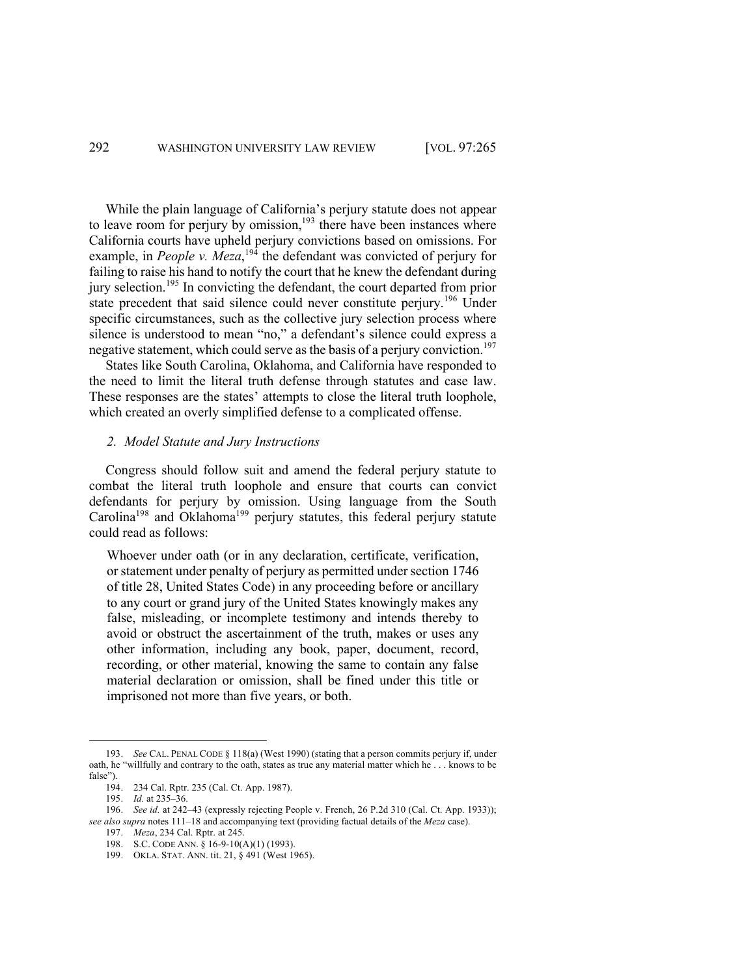While the plain language of California's perjury statute does not appear to leave room for perjury by omission, $193$  there have been instances where California courts have upheld perjury convictions based on omissions. For example, in *People v. Meza*, <sup>194</sup> the defendant was convicted of perjury for failing to raise his hand to notify the court that he knew the defendant during jury selection.<sup>195</sup> In convicting the defendant, the court departed from prior state precedent that said silence could never constitute perjury.<sup>196</sup> Under specific circumstances, such as the collective jury selection process where silence is understood to mean "no," a defendant's silence could express a negative statement, which could serve as the basis of a perjury conviction.<sup>197</sup>

States like South Carolina, Oklahoma, and California have responded to the need to limit the literal truth defense through statutes and case law. These responses are the states' attempts to close the literal truth loophole, which created an overly simplified defense to a complicated offense.

# *2. Model Statute and Jury Instructions*

Congress should follow suit and amend the federal perjury statute to combat the literal truth loophole and ensure that courts can convict defendants for perjury by omission. Using language from the South Carolina<sup>198</sup> and Oklahoma<sup>199</sup> perjury statutes, this federal perjury statute could read as follows:

Whoever under oath (or in any declaration, certificate, verification, or statement under penalty of perjury as permitted under section 1746 of title 28, United States Code) in any proceeding before or ancillary to any court or grand jury of the United States knowingly makes any false, misleading, or incomplete testimony and intends thereby to avoid or obstruct the ascertainment of the truth, makes or uses any other information, including any book, paper, document, record, recording, or other material, knowing the same to contain any false material declaration or omission, shall be fined under this title or imprisoned not more than five years, or both.

<sup>193.</sup> *See* CAL. PENAL CODE § 118(a) (West 1990) (stating that a person commits perjury if, under oath, he "willfully and contrary to the oath, states as true any material matter which he . . . knows to be false").

<sup>194.</sup> 234 Cal. Rptr. 235 (Cal. Ct. App. 1987).

<sup>195.</sup> *Id.* at 235–36.

<sup>196.</sup> *See id.* at 242–43 (expressly rejecting People v. French, 26 P.2d 310 (Cal. Ct. App. 1933)); *see also supra* notes 111–18 and accompanying text (providing factual details of the *Meza* case).

<sup>197.</sup> *Meza*, 234 Cal. Rptr. at 245.

<sup>198.</sup> S.C. CODE ANN. § 16-9-10(A)(1) (1993).

<sup>199.</sup> OKLA. STAT. ANN. tit. 21, § 491 (West 1965).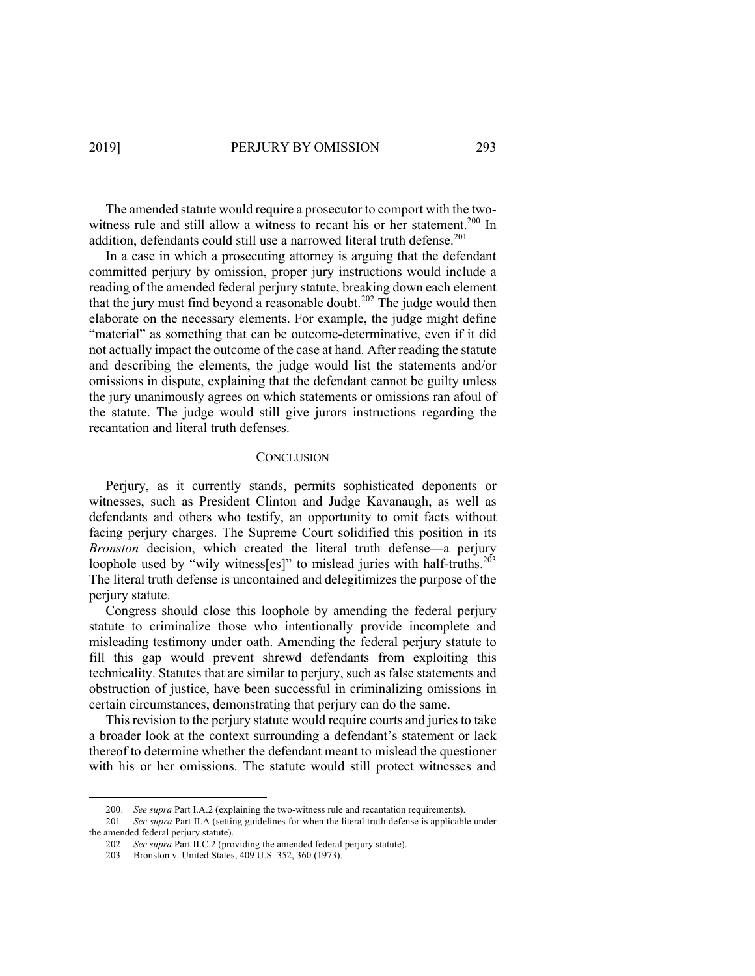The amended statute would require a prosecutor to comport with the twowitness rule and still allow a witness to recant his or her statement.<sup>200</sup> In addition, defendants could still use a narrowed literal truth defense.<sup>201</sup>

In a case in which a prosecuting attorney is arguing that the defendant committed perjury by omission, proper jury instructions would include a reading of the amended federal perjury statute, breaking down each element that the jury must find beyond a reasonable doubt.<sup>202</sup> The judge would then elaborate on the necessary elements. For example, the judge might define "material" as something that can be outcome-determinative, even if it did not actually impact the outcome of the case at hand. After reading the statute and describing the elements, the judge would list the statements and/or omissions in dispute, explaining that the defendant cannot be guilty unless the jury unanimously agrees on which statements or omissions ran afoul of the statute. The judge would still give jurors instructions regarding the recantation and literal truth defenses.

### **CONCLUSION**

Perjury, as it currently stands, permits sophisticated deponents or witnesses, such as President Clinton and Judge Kavanaugh, as well as defendants and others who testify, an opportunity to omit facts without facing perjury charges. The Supreme Court solidified this position in its *Bronston* decision, which created the literal truth defense—a perjury loophole used by "wily witness[es]" to mislead juries with half-truths.<sup>203</sup> The literal truth defense is uncontained and delegitimizes the purpose of the perjury statute.

Congress should close this loophole by amending the federal perjury statute to criminalize those who intentionally provide incomplete and misleading testimony under oath. Amending the federal perjury statute to fill this gap would prevent shrewd defendants from exploiting this technicality. Statutes that are similar to perjury, such as false statements and obstruction of justice, have been successful in criminalizing omissions in certain circumstances, demonstrating that perjury can do the same.

This revision to the perjury statute would require courts and juries to take a broader look at the context surrounding a defendant's statement or lack thereof to determine whether the defendant meant to mislead the questioner with his or her omissions. The statute would still protect witnesses and

<sup>200.</sup> *See supra* Part I.A.2 (explaining the two-witness rule and recantation requirements).

<sup>201.</sup> *See supra* Part II.A (setting guidelines for when the literal truth defense is applicable under the amended federal perjury statute).

<sup>202.</sup> *See supra* Part II.C.2 (providing the amended federal perjury statute).

<sup>203.</sup> Bronston v. United States, 409 U.S. 352, 360 (1973).